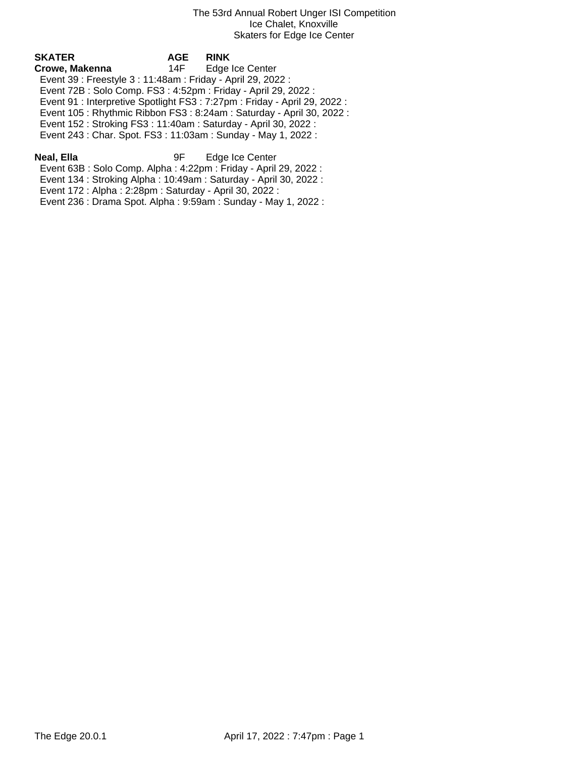| SKATER                                                       | <b>AGE</b> | <b>RINK</b>                                                                |  |
|--------------------------------------------------------------|------------|----------------------------------------------------------------------------|--|
| Crowe, Makenna                                               | 14F -      | Edge Ice Center                                                            |  |
| Event 39 : Freestyle 3 : 11:48am : Friday - April 29, 2022 : |            |                                                                            |  |
|                                                              |            | Event 72B: Solo Comp. FS3: 4:52pm: Friday - April 29, 2022:                |  |
|                                                              |            | Event 91 : Interpretive Spotlight FS3 : 7:27pm : Friday - April 29, 2022 : |  |
|                                                              |            | Event 105: Rhythmic Ribbon FS3: 8:24am: Saturday - April 30, 2022:         |  |
|                                                              |            | Event 152: Stroking FS3: 11:40am: Saturday - April 30, 2022:               |  |
|                                                              |            | Event 243 : Char. Spot. FS3 : 11:03am : Sunday - May 1, 2022 :             |  |
|                                                              |            |                                                                            |  |

**Neal, Ella** 9F Edge Ice Center Event 63B : Solo Comp. Alpha : 4:22pm : Friday - April 29, 2022 :

Event 134 : Stroking Alpha : 10:49am : Saturday - April 30, 2022 :

Event 172 : Alpha : 2:28pm : Saturday - April 30, 2022 :

Event 236 : Drama Spot. Alpha : 9:59am : Sunday - May 1, 2022 :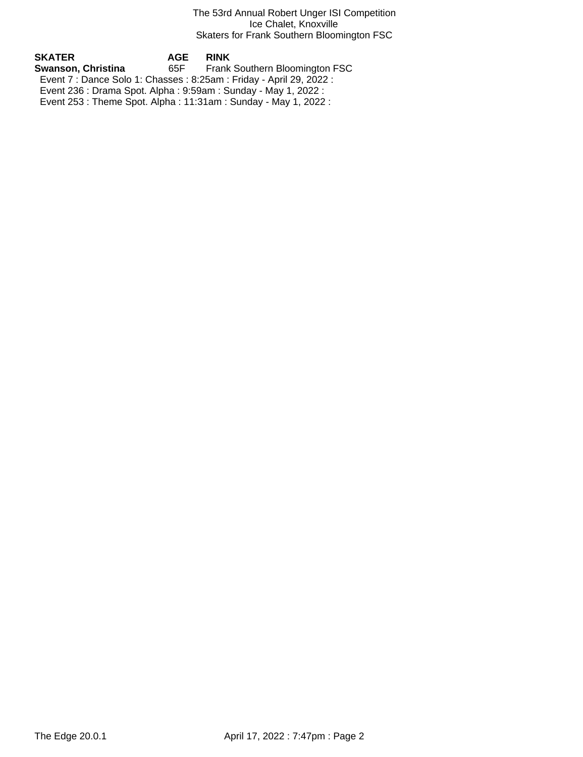### The 53rd Annual Robert Unger ISI Competition Ice Chalet, Knoxville Skaters for Frank Southern Bloomington FSC

**SKATER AGE RINK Frank Southern Bloomington FSC**  Event 7 : Dance Solo 1: Chasses : 8:25am : Friday - April 29, 2022 : Event 236 : Drama Spot. Alpha : 9:59am : Sunday - May 1, 2022 : Event 253 : Theme Spot. Alpha : 11:31am : Sunday - May 1, 2022 :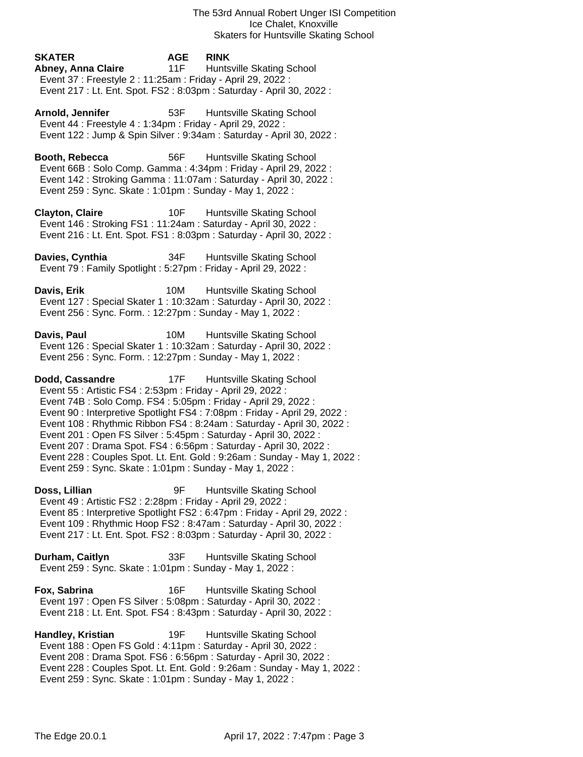**SKATER AGE RINK Abney, Anna Claire** 11F Huntsville Skating School Event 37 : Freestyle 2 : 11:25am : Friday - April 29, 2022 : Event 217 : Lt. Ent. Spot. FS2 : 8:03pm : Saturday - April 30, 2022 :

Arnold, Jennifer **53F** Huntsville Skating School Event 44 : Freestyle 4 : 1:34pm : Friday - April 29, 2022 : Event 122 : Jump & Spin Silver : 9:34am : Saturday - April 30, 2022 :

**Booth, Rebecca** 56F Huntsville Skating School Event 66B : Solo Comp. Gamma : 4:34pm : Friday - April 29, 2022 : Event 142 : Stroking Gamma : 11:07am : Saturday - April 30, 2022 : Event 259 : Sync. Skate : 1:01pm : Sunday - May 1, 2022 :

**Clayton, Claire** 10F Huntsville Skating School Event 146 : Stroking FS1 : 11:24am : Saturday - April 30, 2022 : Event 216 : Lt. Ent. Spot. FS1 : 8:03pm : Saturday - April 30, 2022 :

**Davies, Cynthia** 34F Huntsville Skating School Event 79 : Family Spotlight : 5:27pm : Friday - April 29, 2022 :

**Davis, Erik** 10M Huntsville Skating School Event 127 : Special Skater 1 : 10:32am : Saturday - April 30, 2022 : Event 256 : Sync. Form. : 12:27pm : Sunday - May 1, 2022 :

**Davis, Paul 10M** Huntsville Skating School Event 126 : Special Skater 1 : 10:32am : Saturday - April 30, 2022 : Event 256 : Sync. Form. : 12:27pm : Sunday - May 1, 2022 :

**Dodd, Cassandre** 17F Huntsville Skating School Event 55 : Artistic FS4 : 2:53pm : Friday - April 29, 2022 : Event 74B : Solo Comp. FS4 : 5:05pm : Friday - April 29, 2022 : Event 90 : Interpretive Spotlight FS4 : 7:08pm : Friday - April 29, 2022 : Event 108 : Rhythmic Ribbon FS4 : 8:24am : Saturday - April 30, 2022 : Event 201 : Open FS Silver : 5:45pm : Saturday - April 30, 2022 : Event 207 : Drama Spot. FS4 : 6:56pm : Saturday - April 30, 2022 : Event 228 : Couples Spot. Lt. Ent. Gold : 9:26am : Sunday - May 1, 2022 : Event 259 : Sync. Skate : 1:01pm : Sunday - May 1, 2022 :

**Doss, Lillian** 9F Huntsville Skating School Event 49 : Artistic FS2 : 2:28pm : Friday - April 29, 2022 : Event 85 : Interpretive Spotlight FS2 : 6:47pm : Friday - April 29, 2022 : Event 109 : Rhythmic Hoop FS2 : 8:47am : Saturday - April 30, 2022 : Event 217 : Lt. Ent. Spot. FS2 : 8:03pm : Saturday - April 30, 2022 :

**Durham, Caitlyn** 33F Huntsville Skating School Event 259 : Sync. Skate : 1:01pm : Sunday - May 1, 2022 :

**Fox, Sabrina** 16F Huntsville Skating School Event 197 : Open FS Silver : 5:08pm : Saturday - April 30, 2022 : Event 218 : Lt. Ent. Spot. FS4 : 8:43pm : Saturday - April 30, 2022 :

**Handley, Kristian** 19F Huntsville Skating School Event 188 : Open FS Gold : 4:11pm : Saturday - April 30, 2022 : Event 208 : Drama Spot. FS6 : 6:56pm : Saturday - April 30, 2022 : Event 228 : Couples Spot. Lt. Ent. Gold : 9:26am : Sunday - May 1, 2022 : Event 259 : Sync. Skate : 1:01pm : Sunday - May 1, 2022 :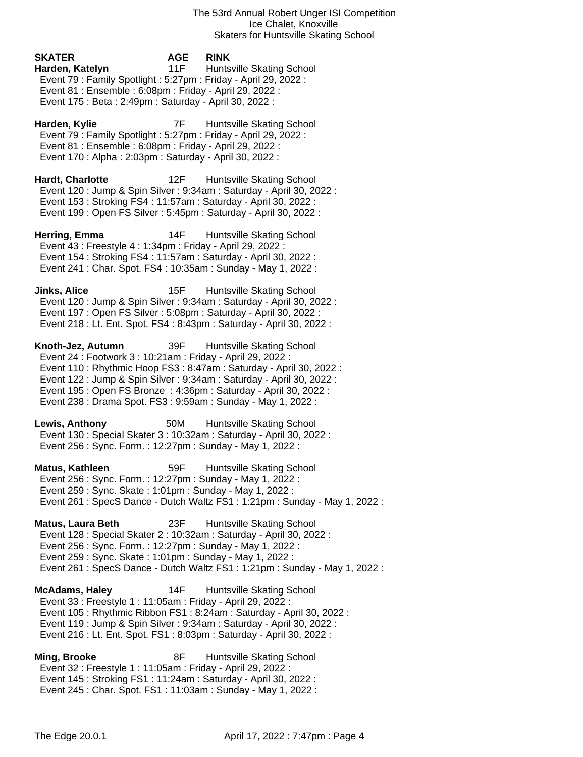# **SKATER AGE RINK Harden, Katelyn** 11F Huntsville Skating School Event 79 : Family Spotlight : 5:27pm : Friday - April 29, 2022 : Event 81 : Ensemble : 6:08pm : Friday - April 29, 2022 : Event 175 : Beta : 2:49pm : Saturday - April 30, 2022 :

Harden, Kylie **7F** Huntsville Skating School Event 79 : Family Spotlight : 5:27pm : Friday - April 29, 2022 : Event 81 : Ensemble : 6:08pm : Friday - April 29, 2022 : Event 170 : Alpha : 2:03pm : Saturday - April 30, 2022 :

**Hardt, Charlotte** 12F Huntsville Skating School Event 120 : Jump & Spin Silver : 9:34am : Saturday - April 30, 2022 : Event 153 : Stroking FS4 : 11:57am : Saturday - April 30, 2022 : Event 199 : Open FS Silver : 5:45pm : Saturday - April 30, 2022 :

**Herring, Emma** 14F Huntsville Skating School Event 43 : Freestyle 4 : 1:34pm : Friday - April 29, 2022 : Event 154 : Stroking FS4 : 11:57am : Saturday - April 30, 2022 : Event 241 : Char. Spot. FS4 : 10:35am : Sunday - May 1, 2022 :

**Jinks, Alice** 15F Huntsville Skating School Event 120 : Jump & Spin Silver : 9:34am : Saturday - April 30, 2022 : Event 197 : Open FS Silver : 5:08pm : Saturday - April 30, 2022 : Event 218 : Lt. Ent. Spot. FS4 : 8:43pm : Saturday - April 30, 2022 :

**Knoth-Jez, Autumn** 39F Huntsville Skating School Event 24 : Footwork 3 : 10:21am : Friday - April 29, 2022 : Event 110 : Rhythmic Hoop FS3 : 8:47am : Saturday - April 30, 2022 : Event 122 : Jump & Spin Silver : 9:34am : Saturday - April 30, 2022 : Event 195 : Open FS Bronze : 4:36pm : Saturday - April 30, 2022 : Event 238 : Drama Spot. FS3 : 9:59am : Sunday - May 1, 2022 :

**Lewis, Anthony** 50M Huntsville Skating School Event 130 : Special Skater 3 : 10:32am : Saturday - April 30, 2022 : Event 256 : Sync. Form. : 12:27pm : Sunday - May 1, 2022 :

**Matus, Kathleen** 59F Huntsville Skating School Event 256 : Sync. Form. : 12:27pm : Sunday - May 1, 2022 : Event 259 : Sync. Skate : 1:01pm : Sunday - May 1, 2022 : Event 261 : SpecS Dance - Dutch Waltz FS1 : 1:21pm : Sunday - May 1, 2022 :

**Matus, Laura Beth** 23F Huntsville Skating School Event 128 : Special Skater 2 : 10:32am : Saturday - April 30, 2022 : Event 256 : Sync. Form. : 12:27pm : Sunday - May 1, 2022 : Event 259 : Sync. Skate : 1:01pm : Sunday - May 1, 2022 : Event 261 : SpecS Dance - Dutch Waltz FS1 : 1:21pm : Sunday - May 1, 2022 :

**McAdams, Haley** 14F Huntsville Skating School Event 33 : Freestyle 1 : 11:05am : Friday - April 29, 2022 : Event 105 : Rhythmic Ribbon FS1 : 8:24am : Saturday - April 30, 2022 : Event 119 : Jump & Spin Silver : 9:34am : Saturday - April 30, 2022 : Event 216 : Lt. Ent. Spot. FS1 : 8:03pm : Saturday - April 30, 2022 :

**Ming, Brooke** 8F Huntsville Skating School Event 32 : Freestyle 1 : 11:05am : Friday - April 29, 2022 : Event 145 : Stroking FS1 : 11:24am : Saturday - April 30, 2022 : Event 245 : Char. Spot. FS1 : 11:03am : Sunday - May 1, 2022 :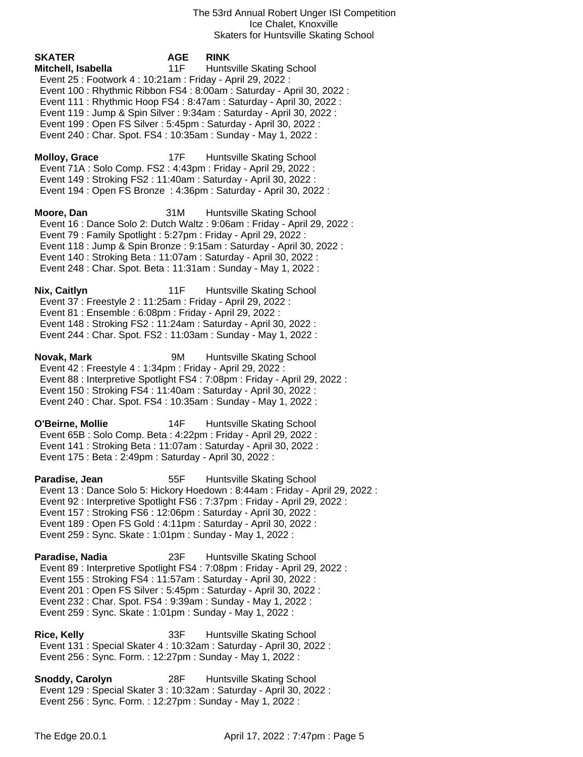The 53rd Annual Robert Unger ISI Competition Ice Chalet, Knoxville Skaters for Huntsville Skating School

**SKATER AGE RINK Mitchell, Isabella** 11F Huntsville Skating School Event 25 : Footwork 4 : 10:21am : Friday - April 29, 2022 : Event 100 : Rhythmic Ribbon FS4 : 8:00am : Saturday - April 30, 2022 : Event 111 : Rhythmic Hoop FS4 : 8:47am : Saturday - April 30, 2022 : Event 119 : Jump & Spin Silver : 9:34am : Saturday - April 30, 2022 : Event 199 : Open FS Silver : 5:45pm : Saturday - April 30, 2022 : Event 240 : Char. Spot. FS4 : 10:35am : Sunday - May 1, 2022 : **Molloy, Grace** 17F Huntsville Skating School Event 71A : Solo Comp. FS2 : 4:43pm : Friday - April 29, 2022 : Event 149 : Stroking FS2 : 11:40am : Saturday - April 30, 2022 : Event 194 : Open FS Bronze : 4:36pm : Saturday - April 30, 2022 : **Moore, Dan** 31M Huntsville Skating School Event 16 : Dance Solo 2: Dutch Waltz : 9:06am : Friday - April 29, 2022 : Event 79 : Family Spotlight : 5:27pm : Friday - April 29, 2022 : Event 118 : Jump & Spin Bronze : 9:15am : Saturday - April 30, 2022 : Event 140 : Stroking Beta : 11:07am : Saturday - April 30, 2022 : Event 248 : Char. Spot. Beta : 11:31am : Sunday - May 1, 2022 : **Nix, Caitlyn** 11F Huntsville Skating School Event 37 : Freestyle 2 : 11:25am : Friday - April 29, 2022 : Event 81 : Ensemble : 6:08pm : Friday - April 29, 2022 : Event 148 : Stroking FS2 : 11:24am : Saturday - April 30, 2022 : Event 244 : Char. Spot. FS2 : 11:03am : Sunday - May 1, 2022 : **Novak, Mark** 9M Huntsville Skating School Event 42 : Freestyle 4 : 1:34pm : Friday - April 29, 2022 : Event 88 : Interpretive Spotlight FS4 : 7:08pm : Friday - April 29, 2022 : Event 150 : Stroking FS4 : 11:40am : Saturday - April 30, 2022 : Event 240 : Char. Spot. FS4 : 10:35am : Sunday - May 1, 2022 : **O'Beirne, Mollie** 14F Huntsville Skating School Event 65B : Solo Comp. Beta : 4:22pm : Friday - April 29, 2022 : Event 141 : Stroking Beta : 11:07am : Saturday - April 30, 2022 : Event 175 : Beta : 2:49pm : Saturday - April 30, 2022 : **Paradise, Jean** 55F Huntsville Skating School Event 13 : Dance Solo 5: Hickory Hoedown : 8:44am : Friday - April 29, 2022 : Event 92 : Interpretive Spotlight FS6 : 7:37pm : Friday - April 29, 2022 : Event 157 : Stroking FS6 : 12:06pm : Saturday - April 30, 2022 : Event 189 : Open FS Gold : 4:11pm : Saturday - April 30, 2022 : Event 259 : Sync. Skate : 1:01pm : Sunday - May 1, 2022 : **Paradise, Nadia** 23F Huntsville Skating School Event 89 : Interpretive Spotlight FS4 : 7:08pm : Friday - April 29, 2022 : Event 155 : Stroking FS4 : 11:57am : Saturday - April 30, 2022 : Event 201 : Open FS Silver : 5:45pm : Saturday - April 30, 2022 : Event 232 : Char. Spot. FS4 : 9:39am : Sunday - May 1, 2022 :

- Event 259 : Sync. Skate : 1:01pm : Sunday May 1, 2022 :
- **Rice, Kelly** 33F Huntsville Skating School Event 131 : Special Skater 4 : 10:32am : Saturday - April 30, 2022 : Event 256 : Sync. Form. : 12:27pm : Sunday - May 1, 2022 :
- **Snoddy, Carolyn** 28F Huntsville Skating School Event 129 : Special Skater 3 : 10:32am : Saturday - April 30, 2022 : Event 256 : Sync. Form. : 12:27pm : Sunday - May 1, 2022 :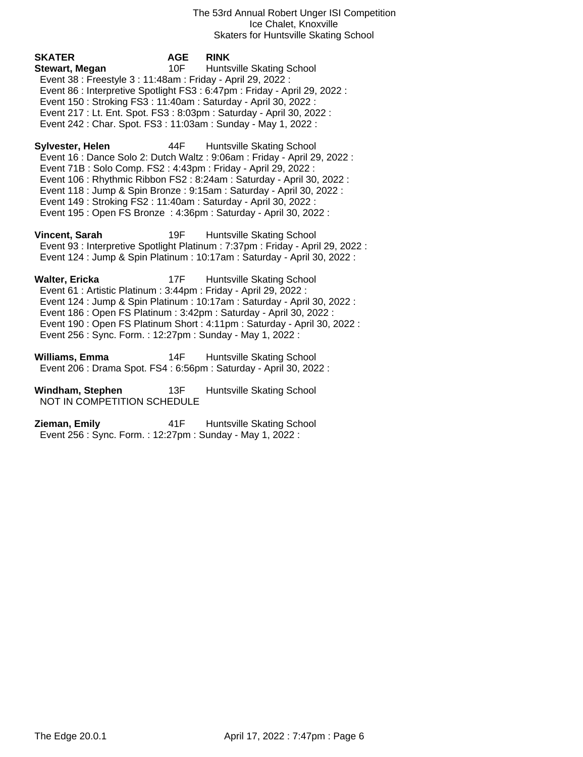The 53rd Annual Robert Unger ISI Competition Ice Chalet, Knoxville Skaters for Huntsville Skating School

**SKATER AGE RINK Stewart, Megan** 10F Huntsville Skating School Event 38 : Freestyle 3 : 11:48am : Friday - April 29, 2022 : Event 86 : Interpretive Spotlight FS3 : 6:47pm : Friday - April 29, 2022 : Event 150 : Stroking FS3 : 11:40am : Saturday - April 30, 2022 : Event 217 : Lt. Ent. Spot. FS3 : 8:03pm : Saturday - April 30, 2022 : Event 242 : Char. Spot. FS3 : 11:03am : Sunday - May 1, 2022 : **Sylvester, Helen** 44F Huntsville Skating School Event 16 : Dance Solo 2: Dutch Waltz : 9:06am : Friday - April 29, 2022 : Event 71B : Solo Comp. FS2 : 4:43pm : Friday - April 29, 2022 : Event 106 : Rhythmic Ribbon FS2 : 8:24am : Saturday - April 30, 2022 : Event 118 : Jump & Spin Bronze : 9:15am : Saturday - April 30, 2022 : Event 149 : Stroking FS2 : 11:40am : Saturday - April 30, 2022 : Event 195 : Open FS Bronze : 4:36pm : Saturday - April 30, 2022 :

**Vincent, Sarah** 19F Huntsville Skating School Event 93 : Interpretive Spotlight Platinum : 7:37pm : Friday - April 29, 2022 : Event 124 : Jump & Spin Platinum : 10:17am : Saturday - April 30, 2022 :

**Walter, Ericka** 17F Huntsville Skating School Event 61 : Artistic Platinum : 3:44pm : Friday - April 29, 2022 : Event 124 : Jump & Spin Platinum : 10:17am : Saturday - April 30, 2022 : Event 186 : Open FS Platinum : 3:42pm : Saturday - April 30, 2022 : Event 190 : Open FS Platinum Short : 4:11pm : Saturday - April 30, 2022 : Event 256 : Sync. Form. : 12:27pm : Sunday - May 1, 2022 :

**Williams, Emma** 14F Huntsville Skating School Event 206 : Drama Spot. FS4 : 6:56pm : Saturday - April 30, 2022 :

**Windham, Stephen** 13F Huntsville Skating School NOT IN COMPETITION SCHEDULE

**Zieman, Emily** 41F Huntsville Skating School Event 256 : Sync. Form. : 12:27pm : Sunday - May 1, 2022 :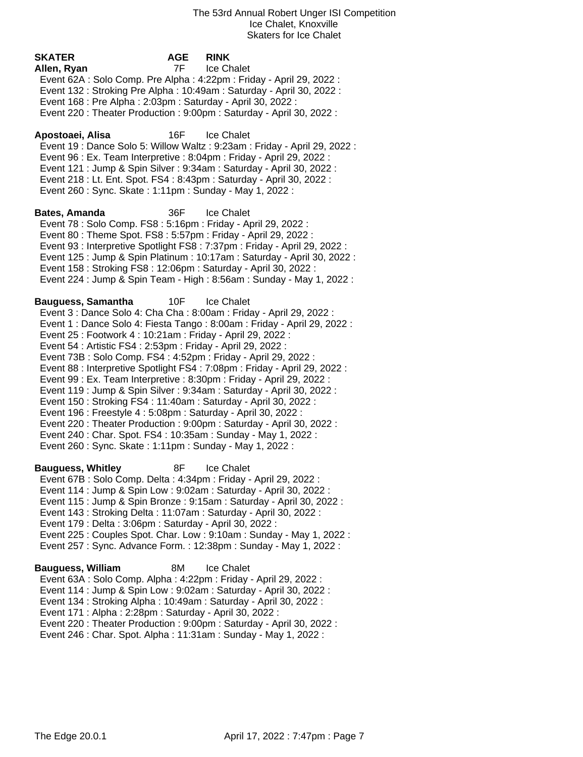**SKATER AGE RINK Allen, Ryan** 7F Ice Chalet Event 62A : Solo Comp. Pre Alpha : 4:22pm : Friday - April 29, 2022 : Event 132 : Stroking Pre Alpha : 10:49am : Saturday - April 30, 2022 : Event 168 : Pre Alpha : 2:03pm : Saturday - April 30, 2022 : Event 220 : Theater Production : 9:00pm : Saturday - April 30, 2022 : **Apostoaei, Alisa** 16F Ice Chalet Event 19 : Dance Solo 5: Willow Waltz : 9:23am : Friday - April 29, 2022 : Event 96 : Ex. Team Interpretive : 8:04pm : Friday - April 29, 2022 : Event 121 : Jump & Spin Silver : 9:34am : Saturday - April 30, 2022 : Event 218 : Lt. Ent. Spot. FS4 : 8:43pm : Saturday - April 30, 2022 : Event 260 : Sync. Skate : 1:11pm : Sunday - May 1, 2022 : **Bates, Amanda** 36F Ice Chalet Event 78 : Solo Comp. FS8 : 5:16pm : Friday - April 29, 2022 : Event 80 : Theme Spot. FS8 : 5:57pm : Friday - April 29, 2022 : Event 93 : Interpretive Spotlight FS8 : 7:37pm : Friday - April 29, 2022 : Event 125 : Jump & Spin Platinum : 10:17am : Saturday - April 30, 2022 : Event 158 : Stroking FS8 : 12:06pm : Saturday - April 30, 2022 : Event 224 : Jump & Spin Team - High : 8:56am : Sunday - May 1, 2022 : **Bauguess, Samantha** 10F Ice Chalet Event 3 : Dance Solo 4: Cha Cha : 8:00am : Friday - April 29, 2022 : Event 1 : Dance Solo 4: Fiesta Tango : 8:00am : Friday - April 29, 2022 : Event 25 : Footwork 4 : 10:21am : Friday - April 29, 2022 : Event 54 : Artistic FS4 : 2:53pm : Friday - April 29, 2022 : Event 73B : Solo Comp. FS4 : 4:52pm : Friday - April 29, 2022 : Event 88 : Interpretive Spotlight FS4 : 7:08pm : Friday - April 29, 2022 : Event 99 : Ex. Team Interpretive : 8:30pm : Friday - April 29, 2022 : Event 119 : Jump & Spin Silver : 9:34am : Saturday - April 30, 2022 : Event 150 : Stroking FS4 : 11:40am : Saturday - April 30, 2022 : Event 196 : Freestyle 4 : 5:08pm : Saturday - April 30, 2022 : Event 220 : Theater Production : 9:00pm : Saturday - April 30, 2022 : Event 240 : Char. Spot. FS4 : 10:35am : Sunday - May 1, 2022 : Event 260 : Sync. Skate : 1:11pm : Sunday - May 1, 2022 : **Bauguess, Whitley** 8F Ice Chalet Event 67B : Solo Comp. Delta : 4:34pm : Friday - April 29, 2022 : Event 114 : Jump & Spin Low : 9:02am : Saturday - April 30, 2022 : Event 115 : Jump & Spin Bronze : 9:15am : Saturday - April 30, 2022 : Event 143 : Stroking Delta : 11:07am : Saturday - April 30, 2022 : Event 179 : Delta : 3:06pm : Saturday - April 30, 2022 : Event 225 : Couples Spot. Char. Low : 9:10am : Sunday - May 1, 2022 : Event 257 : Sync. Advance Form. : 12:38pm : Sunday - May 1, 2022 : **Bauguess, William** 8M Ice Chalet Event 63A : Solo Comp. Alpha : 4:22pm : Friday - April 29, 2022 : Event 114 : Jump & Spin Low : 9:02am : Saturday - April 30, 2022 : Event 134 : Stroking Alpha : 10:49am : Saturday - April 30, 2022 : Event 171 : Alpha : 2:28pm : Saturday - April 30, 2022 : Event 220 : Theater Production : 9:00pm : Saturday - April 30, 2022 : Event 246 : Char. Spot. Alpha : 11:31am : Sunday - May 1, 2022 :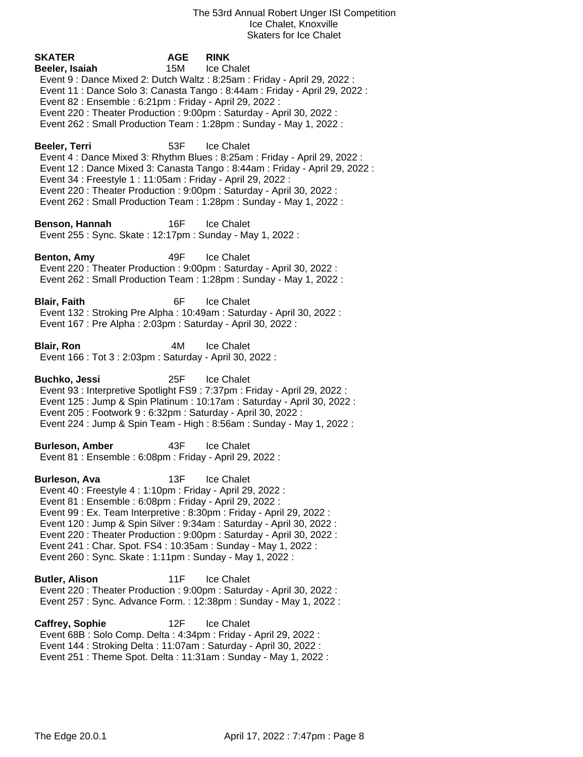| SKATER<br>Beeler, Isaiah<br>Event 82 : Ensemble : 6:21pm : Friday - April 29, 2022 :                                                                                                                                                                                           | <b>AGE</b><br>15M | <b>RINK</b><br>Ice Chalet<br>Event 9 : Dance Mixed 2: Dutch Waltz : 8:25am : Friday - April 29, 2022 :<br>Event 11 : Dance Solo 3: Canasta Tango : 8:44am : Friday - April 29, 2022 :<br>Event 220 : Theater Production : 9:00pm : Saturday - April 30, 2022 :<br>Event 262 : Small Production Team : 1:28pm : Sunday - May 1, 2022 : |
|--------------------------------------------------------------------------------------------------------------------------------------------------------------------------------------------------------------------------------------------------------------------------------|-------------------|---------------------------------------------------------------------------------------------------------------------------------------------------------------------------------------------------------------------------------------------------------------------------------------------------------------------------------------|
| Beeler, Terri<br>Event 34 : Freestyle 1 : 11:05am : Friday - April 29, 2022 :                                                                                                                                                                                                  | 53F               | Ice Chalet<br>Event 4: Dance Mixed 3: Rhythm Blues: 8:25am: Friday - April 29, 2022:<br>Event 12 : Dance Mixed 3: Canasta Tango : 8:44am : Friday - April 29, 2022 :<br>Event 220 : Theater Production : 9:00pm : Saturday - April 30, 2022 :<br>Event 262 : Small Production Team : 1:28pm : Sunday - May 1, 2022 :                  |
| Benson, Hannah<br>Event 255: Sync. Skate: 12:17pm: Sunday - May 1, 2022:                                                                                                                                                                                                       | 16F               | <b>Ice Chalet</b>                                                                                                                                                                                                                                                                                                                     |
| Benton, Amy                                                                                                                                                                                                                                                                    | 49F               | <b>Ice Chalet</b><br>Event 220 : Theater Production : 9:00pm : Saturday - April 30, 2022 :<br>Event 262 : Small Production Team : 1:28pm : Sunday - May 1, 2022 :                                                                                                                                                                     |
| Blair, Faith<br>Event 167 : Pre Alpha : 2:03pm : Saturday - April 30, 2022 :                                                                                                                                                                                                   | 6F                | <b>Ice Chalet</b><br>Event 132 : Stroking Pre Alpha : 10:49am : Saturday - April 30, 2022 :                                                                                                                                                                                                                                           |
| <b>Blair, Ron</b><br>Event 166 : Tot 3 : 2:03pm : Saturday - April 30, 2022 :                                                                                                                                                                                                  | 4M                | <b>Ice Chalet</b>                                                                                                                                                                                                                                                                                                                     |
| <b>Buchko, Jessi</b><br>Event 205 : Footwork 9 : 6:32pm : Saturday - April 30, 2022 :                                                                                                                                                                                          |                   | 25F Ice Chalet<br>Event 93 : Interpretive Spotlight FS9 : 7:37pm : Friday - April 29, 2022 :<br>Event 125 : Jump & Spin Platinum : 10:17am : Saturday - April 30, 2022 :<br>Event 224 : Jump & Spin Team - High : 8:56am : Sunday - May 1, 2022 :                                                                                     |
| <b>Burleson, Amber</b><br>Event 81: Ensemble: 6:08pm: Friday - April 29, 2022:                                                                                                                                                                                                 | 43F               | <b>Ice Chalet</b>                                                                                                                                                                                                                                                                                                                     |
| <b>Burleson, Ava</b><br>Event 40 : Freestyle 4 : 1:10pm : Friday - April 29, 2022 :<br>Event 81 : Ensemble : 6:08pm : Friday - April 29, 2022 :<br>Event 241 : Char. Spot. FS4 : 10:35am : Sunday - May 1, 2022 :<br>Event 260 : Sync. Skate : 1:11pm : Sunday - May 1, 2022 : |                   | 13F Ice Chalet<br>Event 99: Ex. Team Interpretive: 8:30pm: Friday - April 29, 2022:<br>Event 120 : Jump & Spin Silver : 9:34am : Saturday - April 30, 2022 :<br>Event 220 : Theater Production : 9:00pm : Saturday - April 30, 2022 :                                                                                                 |
| <b>Butler, Alison</b>                                                                                                                                                                                                                                                          | 11F               | <b>Ice Chalet</b><br>Event 220 : Theater Production : 9:00pm : Saturday - April 30, 2022 :<br>Event 257 : Sync. Advance Form. : 12:38pm : Sunday - May 1, 2022 :                                                                                                                                                                      |
| <b>Caffrey, Sophie</b><br>Event 68B: Solo Comp. Delta: 4:34pm: Friday - April 29, 2022:<br>Event 144 : Stroking Delta : 11:07am : Saturday - April 30, 2022 :<br>Event 251 : Theme Spot. Delta : 11:31am : Sunday - May 1, 2022 :                                              | 12F               | Ice Chalet                                                                                                                                                                                                                                                                                                                            |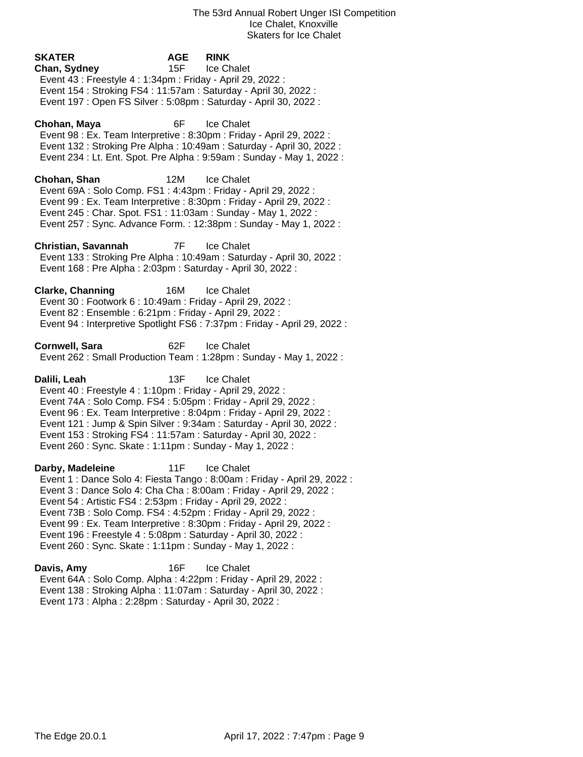**SKATER AGE RINK Chan, Sydney** 15F Ice Chalet Event 43 : Freestyle 4 : 1:34pm : Friday - April 29, 2022 : Event 154 : Stroking FS4 : 11:57am : Saturday - April 30, 2022 : Event 197 : Open FS Silver : 5:08pm : Saturday - April 30, 2022 : **Chohan, Maya** 6F Ice Chalet Event 98 : Ex. Team Interpretive : 8:30pm : Friday - April 29, 2022 : Event 132 : Stroking Pre Alpha : 10:49am : Saturday - April 30, 2022 : Event 234 : Lt. Ent. Spot. Pre Alpha : 9:59am : Sunday - May 1, 2022 : **Chohan, Shan** 12M Ice Chalet Event 69A : Solo Comp. FS1 : 4:43pm : Friday - April 29, 2022 : Event 99 : Ex. Team Interpretive : 8:30pm : Friday - April 29, 2022 : Event 245 : Char. Spot. FS1 : 11:03am : Sunday - May 1, 2022 : Event 257 : Sync. Advance Form. : 12:38pm : Sunday - May 1, 2022 : **Christian, Savannah** 7F Ice Chalet Event 133 : Stroking Pre Alpha : 10:49am : Saturday - April 30, 2022 : Event 168 : Pre Alpha : 2:03pm : Saturday - April 30, 2022 : **Clarke, Channing** 16M Ice Chalet Event 30 : Footwork 6 : 10:49am : Friday - April 29, 2022 : Event 82 : Ensemble : 6:21pm : Friday - April 29, 2022 : Event 94 : Interpretive Spotlight FS6 : 7:37pm : Friday - April 29, 2022 : **Cornwell, Sara** 62F Ice Chalet Event 262 : Small Production Team : 1:28pm : Sunday - May 1, 2022 : **Dalili, Leah** 13F Ice Chalet Event 40 : Freestyle 4 : 1:10pm : Friday - April 29, 2022 : Event 74A : Solo Comp. FS4 : 5:05pm : Friday - April 29, 2022 : Event 96 : Ex. Team Interpretive : 8:04pm : Friday - April 29, 2022 : Event 121 : Jump & Spin Silver : 9:34am : Saturday - April 30, 2022 : Event 153 : Stroking FS4 : 11:57am : Saturday - April 30, 2022 : Event 260 : Sync. Skate : 1:11pm : Sunday - May 1, 2022 : **Darby, Madeleine** 11F Ice Chalet Event 1 : Dance Solo 4: Fiesta Tango : 8:00am : Friday - April 29, 2022 : Event 3 : Dance Solo 4: Cha Cha : 8:00am : Friday - April 29, 2022 : Event 54 : Artistic FS4 : 2:53pm : Friday - April 29, 2022 : Event 73B : Solo Comp. FS4 : 4:52pm : Friday - April 29, 2022 : Event 99 : Ex. Team Interpretive : 8:30pm : Friday - April 29, 2022 : Event 196 : Freestyle 4 : 5:08pm : Saturday - April 30, 2022 : Event 260 : Sync. Skate : 1:11pm : Sunday - May 1, 2022 : **Davis, Amy** 16F Ice Chalet Event 64A : Solo Comp. Alpha : 4:22pm : Friday - April 29, 2022 : Event 138 : Stroking Alpha : 11:07am : Saturday - April 30, 2022 :

Event 173 : Alpha : 2:28pm : Saturday - April 30, 2022 :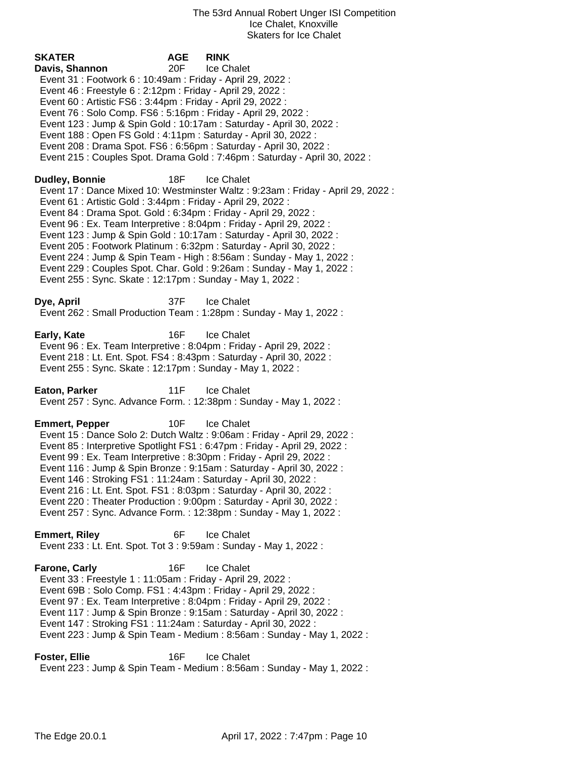**SKATER AGE RINK Davis, Shannon** 20F Ice Chalet Event 31 : Footwork 6 : 10:49am : Friday - April 29, 2022 : Event 46 : Freestyle 6 : 2:12pm : Friday - April 29, 2022 : Event 60 : Artistic FS6 : 3:44pm : Friday - April 29, 2022 : Event 76 : Solo Comp. FS6 : 5:16pm : Friday - April 29, 2022 : Event 123 : Jump & Spin Gold : 10:17am : Saturday - April 30, 2022 : Event 188 : Open FS Gold : 4:11pm : Saturday - April 30, 2022 : Event 208 : Drama Spot. FS6 : 6:56pm : Saturday - April 30, 2022 : Event 215 : Couples Spot. Drama Gold : 7:46pm : Saturday - April 30, 2022 : **Dudley, Bonnie** 18F Ice Chalet Event 17 : Dance Mixed 10: Westminster Waltz : 9:23am : Friday - April 29, 2022 : Event 61 : Artistic Gold : 3:44pm : Friday - April 29, 2022 : Event 84 : Drama Spot. Gold : 6:34pm : Friday - April 29, 2022 : Event 96 : Ex. Team Interpretive : 8:04pm : Friday - April 29, 2022 : Event 123 : Jump & Spin Gold : 10:17am : Saturday - April 30, 2022 : Event 205 : Footwork Platinum : 6:32pm : Saturday - April 30, 2022 : Event 224 : Jump & Spin Team - High : 8:56am : Sunday - May 1, 2022 : Event 229 : Couples Spot. Char. Gold : 9:26am : Sunday - May 1, 2022 : Event 255 : Sync. Skate : 12:17pm : Sunday - May 1, 2022 : **Dye, April** 37F Ice Chalet Event 262 : Small Production Team : 1:28pm : Sunday - May 1, 2022 : **Early, Kate 16F** Ice Chalet Event 96 : Ex. Team Interpretive : 8:04pm : Friday - April 29, 2022 : Event 218 : Lt. Ent. Spot. FS4 : 8:43pm : Saturday - April 30, 2022 : Event 255 : Sync. Skate : 12:17pm : Sunday - May 1, 2022 : **Eaton, Parker** 11F Ice Chalet Event 257 : Sync. Advance Form. : 12:38pm : Sunday - May 1, 2022 : **Emmert, Pepper** 10F Ice Chalet Event 15 : Dance Solo 2: Dutch Waltz : 9:06am : Friday - April 29, 2022 : Event 85 : Interpretive Spotlight FS1 : 6:47pm : Friday - April 29, 2022 : Event 99 : Ex. Team Interpretive : 8:30pm : Friday - April 29, 2022 : Event 116 : Jump & Spin Bronze : 9:15am : Saturday - April 30, 2022 : Event 146 : Stroking FS1 : 11:24am : Saturday - April 30, 2022 : Event 216 : Lt. Ent. Spot. FS1 : 8:03pm : Saturday - April 30, 2022 : Event 220 : Theater Production : 9:00pm : Saturday - April 30, 2022 : Event 257 : Sync. Advance Form. : 12:38pm : Sunday - May 1, 2022 : **Emmert, Riley** 6F Ice Chalet Event 233 : Lt. Ent. Spot. Tot 3 : 9:59am : Sunday - May 1, 2022 : **Farone, Carly 16F** Ice Chalet Event 33 : Freestyle 1 : 11:05am : Friday - April 29, 2022 : Event 69B : Solo Comp. FS1 : 4:43pm : Friday - April 29, 2022 : Event 97 : Ex. Team Interpretive : 8:04pm : Friday - April 29, 2022 : Event 117 : Jump & Spin Bronze : 9:15am : Saturday - April 30, 2022 : Event 147 : Stroking FS1 : 11:24am : Saturday - April 30, 2022 : Event 223 : Jump & Spin Team - Medium : 8:56am : Sunday - May 1, 2022 : **Foster, Ellie** 16F Ice Chalet

Event 223 : Jump & Spin Team - Medium : 8:56am : Sunday - May 1, 2022 :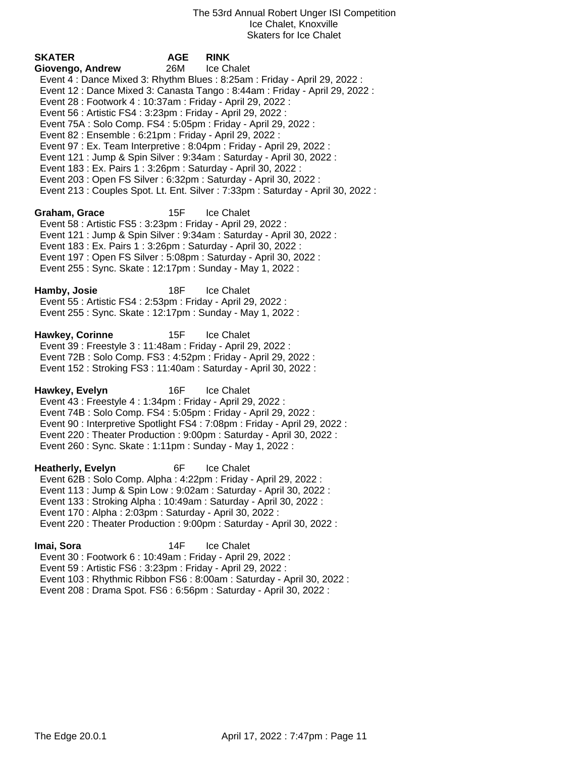| <b>SKATER</b>            | <b>AGE</b>                                                            | <b>RINK</b>                                                                      |
|--------------------------|-----------------------------------------------------------------------|----------------------------------------------------------------------------------|
| Giovengo, Andrew         | 26M                                                                   | Ice Chalet                                                                       |
|                          |                                                                       | Event 4: Dance Mixed 3: Rhythm Blues: 8:25am: Friday - April 29, 2022:           |
|                          |                                                                       | Event 12 : Dance Mixed 3: Canasta Tango : 8:44am : Friday - April 29, 2022 :     |
|                          | Event 28 : Footwork 4 : 10:37am : Friday - April 29, 2022 :           |                                                                                  |
|                          | Event 56 : Artistic FS4 : 3:23pm : Friday - April 29, 2022 :          |                                                                                  |
|                          | Event 75A : Solo Comp. FS4 : 5:05pm : Friday - April 29, 2022 :       |                                                                                  |
|                          | Event 82 : Ensemble : 6:21pm : Friday - April 29, 2022 :              |                                                                                  |
|                          | Event 97 : Ex. Team Interpretive : 8:04pm : Friday - April 29, 2022 : |                                                                                  |
|                          |                                                                       | Event 121 : Jump & Spin Silver : 9:34am : Saturday - April 30, 2022 :            |
|                          | Event 183 : Ex. Pairs 1 : 3:26pm : Saturday - April 30, 2022 :        |                                                                                  |
|                          | Event 203 : Open FS Silver : 6:32pm : Saturday - April 30, 2022 :     |                                                                                  |
|                          |                                                                       | Event 213 : Couples Spot. Lt. Ent. Silver : 7:33pm : Saturday - April 30, 2022 : |
| Graham, Grace            | 15F                                                                   | <b>Ice Chalet</b>                                                                |
|                          | Event 58 : Artistic FS5 : 3:23pm : Friday - April 29, 2022 :          |                                                                                  |
|                          |                                                                       | Event 121 : Jump & Spin Silver : 9:34am : Saturday - April 30, 2022 :            |
|                          | Event 183 : Ex. Pairs 1 : 3:26pm : Saturday - April 30, 2022 :        |                                                                                  |
|                          | Event 197 : Open FS Silver : 5:08pm : Saturday - April 30, 2022 :     |                                                                                  |
|                          | Event 255: Sync. Skate: 12:17pm: Sunday - May 1, 2022:                |                                                                                  |
|                          |                                                                       |                                                                                  |
| Hamby, Josie             | 18F                                                                   | Ice Chalet                                                                       |
|                          | Event 55: Artistic FS4: 2:53pm: Friday - April 29, 2022:              |                                                                                  |
|                          | Event 255: Sync. Skate: 12:17pm: Sunday - May 1, 2022:                |                                                                                  |
| Hawkey, Corinne          | 15F                                                                   | Ice Chalet                                                                       |
|                          | Event 39 : Freestyle 3 : 11:48am : Friday - April 29, 2022 :          |                                                                                  |
|                          | Event 72B: Solo Comp. FS3: 4:52pm: Friday - April 29, 2022:           |                                                                                  |
|                          | Event 152: Stroking FS3: 11:40am: Saturday - April 30, 2022:          |                                                                                  |
|                          |                                                                       |                                                                                  |
| Hawkey, Evelyn           | 16F                                                                   | Ice Chalet                                                                       |
|                          | Event 43 : Freestyle 4 : 1:34pm : Friday - April 29, 2022 :           |                                                                                  |
|                          | Event 74B : Solo Comp. FS4 : 5:05pm : Friday - April 29, 2022 :       |                                                                                  |
|                          |                                                                       | Event 90 : Interpretive Spotlight FS4 : 7:08pm : Friday - April 29, 2022 :       |
|                          |                                                                       | Event 220 : Theater Production : 9:00pm : Saturday - April 30, 2022 :            |
|                          | Event 260 : Sync. Skate : 1:11pm : Sunday - May 1, 2022 :             |                                                                                  |
| <b>Heatherly, Evelyn</b> | 6F                                                                    | Ice Chalet                                                                       |
|                          | Event 62B: Solo Comp. Alpha: 4:22pm: Friday - April 29, 2022:         |                                                                                  |
|                          | Event 113 : Jump & Spin Low : 9:02am : Saturday - April 30, 2022 :    |                                                                                  |
|                          | Event 133: Stroking Alpha: 10:49am: Saturday - April 30, 2022:        |                                                                                  |
|                          | Event 170 : Alpha : 2:03pm : Saturday - April 30, 2022 :              |                                                                                  |
|                          |                                                                       | Event 220 : Theater Production : 9:00pm : Saturday - April 30, 2022 :            |
|                          | 14F                                                                   | Ice Chalet                                                                       |
| Imai, Sora               | Event 30 : Footwork 6 : 10:49am : Friday - April 29, 2022 :           |                                                                                  |
|                          | Event 59 : Artistic FS6 : 3:23pm : Friday - April 29, 2022 :          |                                                                                  |
|                          |                                                                       |                                                                                  |

- Event 103 : Rhythmic Ribbon FS6 : 8:00am : Saturday April 30, 2022 :
- Event 208 : Drama Spot. FS6 : 6:56pm : Saturday April 30, 2022 :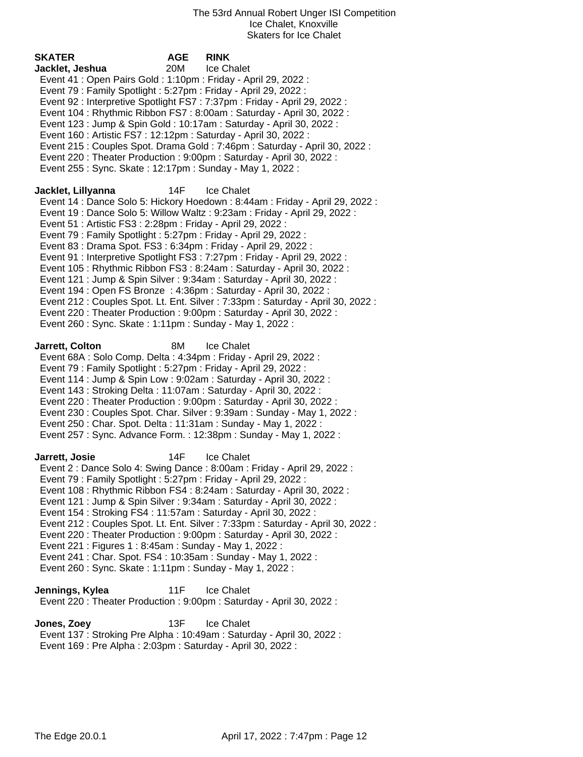| <b>SKATER</b>                                                     | <b>AGE</b> | <b>RINK</b>                                                                      |
|-------------------------------------------------------------------|------------|----------------------------------------------------------------------------------|
| Jacklet, Jeshua                                                   | 20M        | Ice Chalet                                                                       |
| Event 41 : Open Pairs Gold : 1:10pm : Friday - April 29, 2022 :   |            |                                                                                  |
| Event 79 : Family Spotlight : 5:27pm : Friday - April 29, 2022 :  |            |                                                                                  |
|                                                                   |            | Event 92 : Interpretive Spotlight FS7 : 7:37pm : Friday - April 29, 2022 :       |
|                                                                   |            | Event 104 : Rhythmic Ribbon FS7 : 8:00am : Saturday - April 30, 2022 :           |
|                                                                   |            | Event 123 : Jump & Spin Gold : 10:17am : Saturday - April 30, 2022 :             |
| Event 160 : Artistic FS7 : 12:12pm : Saturday - April 30, 2022 :  |            |                                                                                  |
|                                                                   |            | Event 215 : Couples Spot. Drama Gold : 7:46pm : Saturday - April 30, 2022 :      |
|                                                                   |            | Event 220 : Theater Production : 9:00pm : Saturday - April 30, 2022 :            |
| Event 255: Sync. Skate: 12:17pm: Sunday - May 1, 2022:            |            |                                                                                  |
| Jacklet, Lillyanna                                                | 14F        | Ice Chalet                                                                       |
|                                                                   |            | Event 14 : Dance Solo 5: Hickory Hoedown : 8:44am : Friday - April 29, 2022 :    |
|                                                                   |            | Event 19: Dance Solo 5: Willow Waltz: 9:23am: Friday - April 29, 2022:           |
| Event 51 : Artistic FS3 : 2:28pm : Friday - April 29, 2022 :      |            |                                                                                  |
| Event 79 : Family Spotlight : 5:27pm : Friday - April 29, 2022 :  |            |                                                                                  |
| Event 83 : Drama Spot. FS3 : 6:34pm : Friday - April 29, 2022 :   |            |                                                                                  |
|                                                                   |            | Event 91 : Interpretive Spotlight FS3 : 7:27pm : Friday - April 29, 2022 :       |
|                                                                   |            | Event 105: Rhythmic Ribbon FS3: 8:24am: Saturday - April 30, 2022:               |
|                                                                   |            | Event 121 : Jump & Spin Silver : 9:34am : Saturday - April 30, 2022 :            |
|                                                                   |            | Event 194 : Open FS Bronze : 4:36pm : Saturday - April 30, 2022 :                |
|                                                                   |            | Event 212 : Couples Spot. Lt. Ent. Silver : 7:33pm : Saturday - April 30, 2022 : |
|                                                                   |            | Event 220 : Theater Production : 9:00pm : Saturday - April 30, 2022 :            |
| Event 260 : Sync. Skate : 1:11pm : Sunday - May 1, 2022 :         |            |                                                                                  |
|                                                                   |            |                                                                                  |
| Jarrett, Colton                                                   | 8M         | Ice Chalet                                                                       |
| Event 68A : Solo Comp. Delta : 4:34pm : Friday - April 29, 2022 : |            |                                                                                  |
| Event 79: Family Spotlight: 5:27pm: Friday - April 29, 2022:      |            |                                                                                  |
|                                                                   |            | Event 114 : Jump & Spin Low : 9:02am : Saturday - April 30, 2022 :               |
| Event 143: Stroking Delta: 11:07am: Saturday - April 30, 2022:    |            |                                                                                  |
|                                                                   |            | Event 220 : Theater Production : 9:00pm : Saturday - April 30, 2022 :            |
|                                                                   |            | Event 230 : Couples Spot. Char. Silver : 9:39am : Sunday - May 1, 2022 :         |
| Event 250 : Char. Spot. Delta : 11:31am : Sunday - May 1, 2022 :  |            |                                                                                  |
|                                                                   |            | Event 257: Sync. Advance Form.: 12:38pm: Sunday - May 1, 2022:                   |
| Jarrett, Josie                                                    | 14F        | Ice Chalet                                                                       |
|                                                                   |            | Event 2: Dance Solo 4: Swing Dance: 8:00am: Friday - April 29, 2022:             |
| Event 79 : Family Spotlight : 5:27pm : Friday - April 29, 2022 :  |            |                                                                                  |
|                                                                   |            | Event 108 : Rhythmic Ribbon FS4 : 8:24am : Saturday - April 30, 2022 :           |
|                                                                   |            | Event 121 : Jump & Spin Silver : 9:34am : Saturday - April 30, 2022 :            |
| Event 154 : Stroking FS4 : 11:57am : Saturday - April 30, 2022 :  |            |                                                                                  |
|                                                                   |            | Event 212 : Couples Spot. Lt. Ent. Silver : 7:33pm : Saturday - April 30, 2022 : |
|                                                                   |            | Event 220 : Theater Production : 9:00pm : Saturday - April 30, 2022 :            |
| Event 221 : Figures 1 : 8:45am : Sunday - May 1, 2022 :           |            |                                                                                  |
| Event 241 : Char. Spot. FS4 : 10:35am : Sunday - May 1, 2022 :    |            |                                                                                  |
| Event 260 : Sync. Skate : 1:11pm : Sunday - May 1, 2022 :         |            |                                                                                  |
|                                                                   |            |                                                                                  |
| Jennings, Kylea                                                   | 11F        | Ice Chalet                                                                       |
|                                                                   |            | Event 220 : Theater Production : 9:00pm : Saturday - April 30, 2022 :            |
| Jones, Zoey                                                       | 13F        | Ice Chalet                                                                       |
|                                                                   |            | Event 137: Stroking Pre Alpha: 10:49am: Saturday - April 30, 2022:               |
| Event 169 : Pre Alpha : 2:03pm : Saturday - April 30, 2022 :      |            |                                                                                  |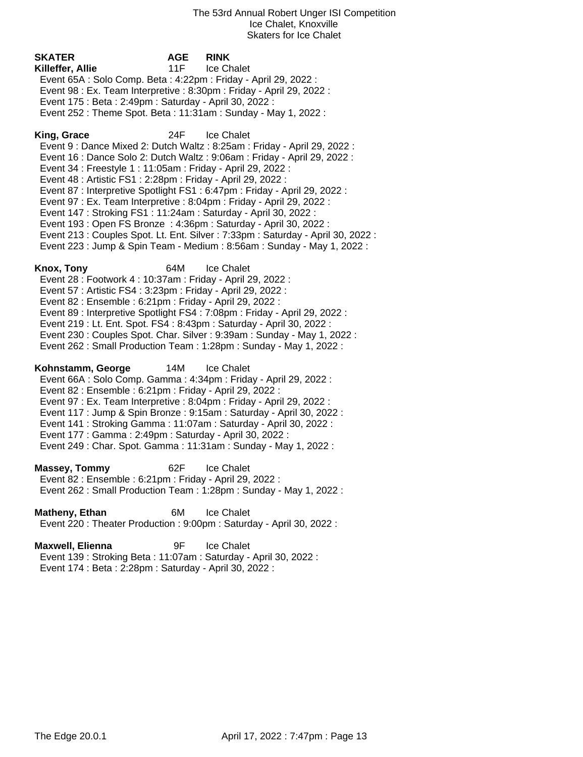| <b>SKATER</b><br>AGE.<br>11F<br>Killeffer, Allie<br>Event 65A : Solo Comp. Beta : 4:22pm : Friday - April 29, 2022 :<br>Event 98 : Ex. Team Interpretive : 8:30pm : Friday - April 29, 2022 :<br>Event 175 : Beta : 2:49pm : Saturday - April 30, 2022 :<br>Event 252 : Theme Spot. Beta : 11:31am : Sunday - May 1, 2022 :                                                                                                                                                                                       | <b>RINK</b><br>Ice Chalet                                                                                                                                                                                                                                                                                                                                                                                         |
|-------------------------------------------------------------------------------------------------------------------------------------------------------------------------------------------------------------------------------------------------------------------------------------------------------------------------------------------------------------------------------------------------------------------------------------------------------------------------------------------------------------------|-------------------------------------------------------------------------------------------------------------------------------------------------------------------------------------------------------------------------------------------------------------------------------------------------------------------------------------------------------------------------------------------------------------------|
| King, Grace<br>24F<br>Event 34 : Freestyle 1 : 11:05am : Friday - April 29, 2022 :<br>Event 48 : Artistic FS1 : 2:28pm : Friday - April 29, 2022 :<br>Event 97 : Ex. Team Interpretive : 8:04pm : Friday - April 29, 2022 :<br>Event 147: Stroking FS1: 11:24am: Saturday - April 30, 2022:<br>Event 193 : Open FS Bronze : 4:36pm : Saturday - April 30, 2022 :                                                                                                                                                  | Ice Chalet<br>Event 9 : Dance Mixed 2: Dutch Waltz : 8:25am : Friday - April 29, 2022 :<br>Event 16 : Dance Solo 2: Dutch Waltz : 9:06am : Friday - April 29, 2022 :<br>Event 87 : Interpretive Spotlight FS1 : 6:47pm : Friday - April 29, 2022 :<br>Event 213 : Couples Spot. Lt. Ent. Silver : 7:33pm : Saturday - April 30, 2022 :<br>Event 223 : Jump & Spin Team - Medium : 8:56am : Sunday - May 1, 2022 : |
| 64M<br>Knox, Tony<br>Event 28 : Footwork 4 : 10:37am : Friday - April 29, 2022 :<br>Event 57 : Artistic FS4 : 3:23pm : Friday - April 29, 2022 :<br>Event 82 : Ensemble : 6:21pm : Friday - April 29, 2022 :<br>Event 219 : Lt. Ent. Spot. FS4 : 8:43pm : Saturday - April 30, 2022 :<br>Event 262 : Small Production Team : 1:28pm : Sunday - May 1, 2022 :                                                                                                                                                      | Ice Chalet<br>Event 89 : Interpretive Spotlight FS4 : 7:08pm : Friday - April 29, 2022 :<br>Event 230 : Couples Spot. Char. Silver : 9:39am : Sunday - May 1, 2022 :                                                                                                                                                                                                                                              |
| Kohnstamm, George<br>14M<br>Event 66A : Solo Comp. Gamma : 4:34pm : Friday - April 29, 2022 :<br>Event 82 : Ensemble : 6:21pm : Friday - April 29, 2022 :<br>Event 97 : Ex. Team Interpretive : 8:04pm : Friday - April 29, 2022 :<br>Event 117 : Jump & Spin Bronze : 9:15am : Saturday - April 30, 2022 :<br>Event 141 : Stroking Gamma : 11:07am : Saturday - April 30, 2022 :<br>Event 177 : Gamma : 2:49pm : Saturday - April 30, 2022 :<br>Event 249 : Char. Spot. Gamma : 11:31am : Sunday - May 1, 2022 : | <b>Ice Chalet</b>                                                                                                                                                                                                                                                                                                                                                                                                 |
| <b>Massey, Tommy</b><br>62F<br>Event 82 : Ensemble : 6:21pm : Friday - April 29, 2022 :<br>Event 262 : Small Production Team : 1:28pm : Sunday - May 1, 2022 :                                                                                                                                                                                                                                                                                                                                                    | <b>Ice Chalet</b>                                                                                                                                                                                                                                                                                                                                                                                                 |
| Matheny, Ethan<br>6M<br>Event 220 : Theater Production : 9:00pm : Saturday - April 30, 2022 :                                                                                                                                                                                                                                                                                                                                                                                                                     | Ice Chalet                                                                                                                                                                                                                                                                                                                                                                                                        |

**Maxwell, Elienna** 9F Ice Chalet Event 139 : Stroking Beta : 11:07am : Saturday - April 30, 2022 : Event 174 : Beta : 2:28pm : Saturday - April 30, 2022 :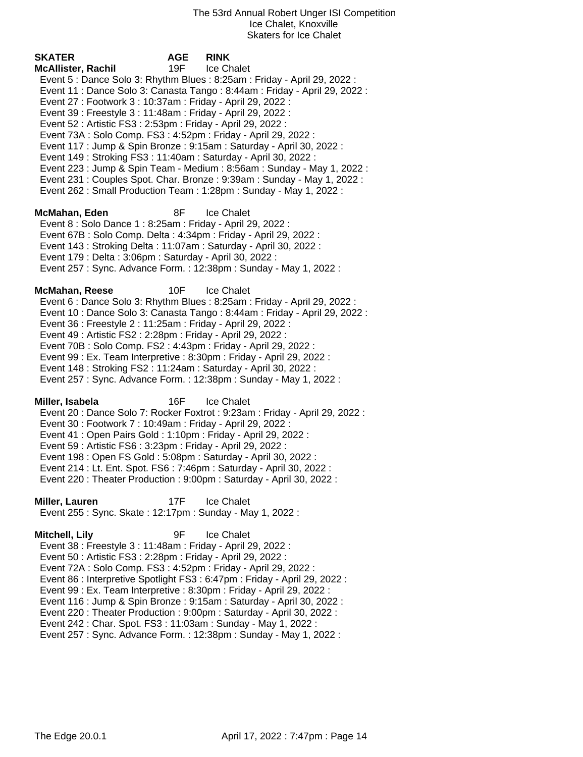| <b>SKATER</b>                                                         | <b>AGE</b> | <b>RINK</b>                                                                 |
|-----------------------------------------------------------------------|------------|-----------------------------------------------------------------------------|
| <b>McAllister, Rachil</b>                                             | 19F        | Ice Chalet                                                                  |
|                                                                       |            | Event 5 : Dance Solo 3: Rhythm Blues : 8:25am : Friday - April 29, 2022 :   |
|                                                                       |            | Event 11 : Dance Solo 3: Canasta Tango : 8:44am : Friday - April 29, 2022 : |
| Event 27 : Footwork 3 : 10:37am : Friday - April 29, 2022 :           |            |                                                                             |
| Event 39 : Freestyle 3 : 11:48am : Friday - April 29, 2022 :          |            |                                                                             |
| Event 52 : Artistic FS3 : 2:53pm : Friday - April 29, 2022 :          |            |                                                                             |
| Event 73A : Solo Comp. FS3 : 4:52pm : Friday - April 29, 2022 :       |            |                                                                             |
|                                                                       |            | Event 117 : Jump & Spin Bronze : 9:15am : Saturday - April 30, 2022 :       |
| Event 149: Stroking FS3: 11:40am: Saturday - April 30, 2022:          |            |                                                                             |
|                                                                       |            | Event 223 : Jump & Spin Team - Medium : 8:56am : Sunday - May 1, 2022 :     |
|                                                                       |            | Event 231: Couples Spot. Char. Bronze: 9:39am: Sunday - May 1, 2022:        |
|                                                                       |            | Event 262: Small Production Team: 1:28pm: Sunday - May 1, 2022:             |
|                                                                       |            |                                                                             |
| McMahan, Eden                                                         | 8F         | Ice Chalet                                                                  |
| Event 8 : Solo Dance 1 : 8:25am : Friday - April 29, 2022 :           |            |                                                                             |
| Event 67B: Solo Comp. Delta: 4:34pm: Friday - April 29, 2022:         |            |                                                                             |
| Event 143 : Stroking Delta : 11:07am : Saturday - April 30, 2022 :    |            |                                                                             |
| Event 179 : Delta : 3:06pm : Saturday - April 30, 2022 :              |            |                                                                             |
|                                                                       |            | Event 257: Sync. Advance Form.: 12:38pm: Sunday - May 1, 2022:              |
|                                                                       |            |                                                                             |
| <b>McMahan, Reese</b>                                                 | 10F        | Ice Chalet                                                                  |
|                                                                       |            | Event 6 : Dance Solo 3: Rhythm Blues : 8:25am : Friday - April 29, 2022 :   |
|                                                                       |            | Event 10 : Dance Solo 3: Canasta Tango : 8:44am : Friday - April 29, 2022 : |
| Event 36 : Freestyle 2 : 11:25am : Friday - April 29, 2022 :          |            |                                                                             |
| Event 49 : Artistic FS2 : 2:28pm : Friday - April 29, 2022 :          |            |                                                                             |
| Event 70B: Solo Comp. FS2: 4:43pm: Friday - April 29, 2022:           |            |                                                                             |
| Event 99 : Ex. Team Interpretive : 8:30pm : Friday - April 29, 2022 : |            |                                                                             |
| Event 148 : Stroking FS2 : 11:24am : Saturday - April 30, 2022 :      |            |                                                                             |
|                                                                       |            | Event 257: Sync. Advance Form.: 12:38pm: Sunday - May 1, 2022:              |
|                                                                       |            |                                                                             |
| Miller, Isabela                                                       | 16F        | Ice Chalet                                                                  |
|                                                                       |            | Event 20: Dance Solo 7: Rocker Foxtrot: 9:23am: Friday - April 29, 2022:    |
| Event 30 : Footwork 7 : 10:49am : Friday - April 29, 2022 :           |            |                                                                             |
| Event 41 : Open Pairs Gold : 1:10pm : Friday - April 29, 2022 :       |            |                                                                             |
| Event 59 : Artistic FS6 : 3:23pm : Friday - April 29, 2022 :          |            |                                                                             |
| Event 198 : Open FS Gold : 5:08pm : Saturday - April 30, 2022 :       |            |                                                                             |
| . <del>.</del>                                                        |            |                                                                             |

 Event 214 : Lt. Ent. Spot. FS6 : 7:46pm : Saturday - April 30, 2022 : Event 220 : Theater Production : 9:00pm : Saturday - April 30, 2022 :

**Miller, Lauren** 17F Ice Chalet Event 255 : Sync. Skate : 12:17pm : Sunday - May 1, 2022 :

**Mitchell, Lily** 9F Ice Chalet Event 38 : Freestyle 3 : 11:48am : Friday - April 29, 2022 : Event 50 : Artistic FS3 : 2:28pm : Friday - April 29, 2022 : Event 72A : Solo Comp. FS3 : 4:52pm : Friday - April 29, 2022 : Event 86 : Interpretive Spotlight FS3 : 6:47pm : Friday - April 29, 2022 : Event 99 : Ex. Team Interpretive : 8:30pm : Friday - April 29, 2022 : Event 116 : Jump & Spin Bronze : 9:15am : Saturday - April 30, 2022 : Event 220 : Theater Production : 9:00pm : Saturday - April 30, 2022 : Event 242 : Char. Spot. FS3 : 11:03am : Sunday - May 1, 2022 : Event 257 : Sync. Advance Form. : 12:38pm : Sunday - May 1, 2022 :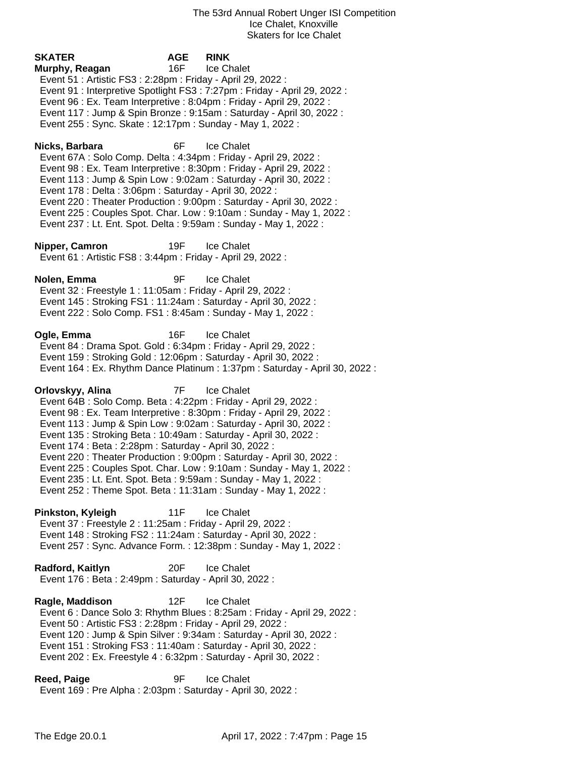**SKATER AGE RINK Murphy, Reagan** 16F Ice Chalet Event 51 : Artistic FS3 : 2:28pm : Friday - April 29, 2022 : Event 91 : Interpretive Spotlight FS3 : 7:27pm : Friday - April 29, 2022 : Event 96 : Ex. Team Interpretive : 8:04pm : Friday - April 29, 2022 : Event 117 : Jump & Spin Bronze : 9:15am : Saturday - April 30, 2022 : Event 255 : Sync. Skate : 12:17pm : Sunday - May 1, 2022 : **Nicks, Barbara** 6F Ice Chalet Event 67A : Solo Comp. Delta : 4:34pm : Friday - April 29, 2022 : Event 98 : Ex. Team Interpretive : 8:30pm : Friday - April 29, 2022 : Event 113 : Jump & Spin Low : 9:02am : Saturday - April 30, 2022 : Event 178 : Delta : 3:06pm : Saturday - April 30, 2022 : Event 220 : Theater Production : 9:00pm : Saturday - April 30, 2022 : Event 225 : Couples Spot. Char. Low : 9:10am : Sunday - May 1, 2022 : Event 237 : Lt. Ent. Spot. Delta : 9:59am : Sunday - May 1, 2022 : **Nipper, Camron** 19F Ice Chalet Event 61 : Artistic FS8 : 3:44pm : Friday - April 29, 2022 : **Nolen, Emma** 9F Ice Chalet Event 32 : Freestyle 1 : 11:05am : Friday - April 29, 2022 : Event 145 : Stroking FS1 : 11:24am : Saturday - April 30, 2022 : Event 222 : Solo Comp. FS1 : 8:45am : Sunday - May 1, 2022 : **Ogle, Emma** 16F Ice Chalet Event 84 : Drama Spot. Gold : 6:34pm : Friday - April 29, 2022 : Event 159 : Stroking Gold : 12:06pm : Saturday - April 30, 2022 : Event 164 : Ex. Rhythm Dance Platinum : 1:37pm : Saturday - April 30, 2022 : **Orlovskyy, Alina** 7F Ice Chalet Event 64B : Solo Comp. Beta : 4:22pm : Friday - April 29, 2022 : Event 98 : Ex. Team Interpretive : 8:30pm : Friday - April 29, 2022 : Event 113 : Jump & Spin Low : 9:02am : Saturday - April 30, 2022 : Event 135 : Stroking Beta : 10:49am : Saturday - April 30, 2022 : Event 174 : Beta : 2:28pm : Saturday - April 30, 2022 : Event 220 : Theater Production : 9:00pm : Saturday - April 30, 2022 : Event 225 : Couples Spot. Char. Low : 9:10am : Sunday - May 1, 2022 : Event 235 : Lt. Ent. Spot. Beta : 9:59am : Sunday - May 1, 2022 : Event 252 : Theme Spot. Beta : 11:31am : Sunday - May 1, 2022 : **Pinkston, Kyleigh** 11F Ice Chalet Event 37 : Freestyle 2 : 11:25am : Friday - April 29, 2022 : Event 148 : Stroking FS2 : 11:24am : Saturday - April 30, 2022 : Event 257 : Sync. Advance Form. : 12:38pm : Sunday - May 1, 2022 : **Radford, Kaitlyn** 20F Ice Chalet Event 176 : Beta : 2:49pm : Saturday - April 30, 2022 : **Ragle, Maddison** 12F Ice Chalet Event 6 : Dance Solo 3: Rhythm Blues : 8:25am : Friday - April 29, 2022 : Event 50 : Artistic FS3 : 2:28pm : Friday - April 29, 2022 : Event 120 : Jump & Spin Silver : 9:34am : Saturday - April 30, 2022 : Event 151 : Stroking FS3 : 11:40am : Saturday - April 30, 2022 : Event 202 : Ex. Freestyle 4 : 6:32pm : Saturday - April 30, 2022 : **Reed, Paige** 9F Ice Chalet Event 169 : Pre Alpha : 2:03pm : Saturday - April 30, 2022 :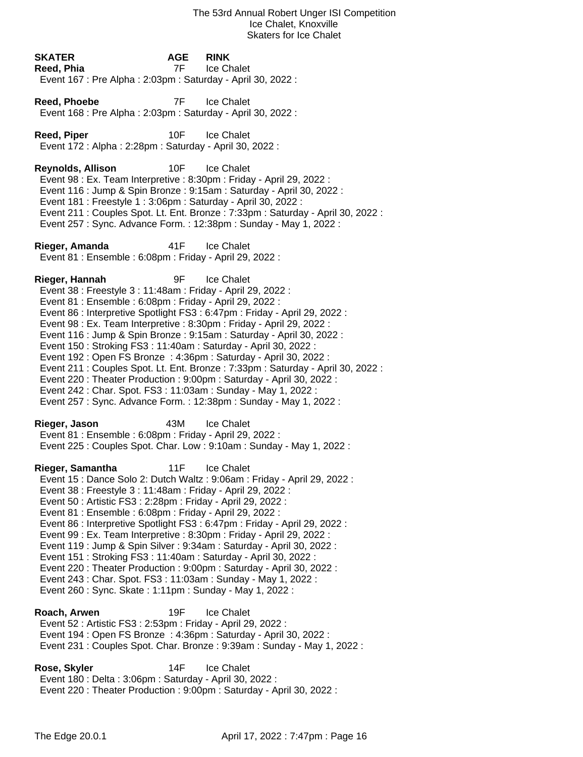|                                                                                                                                                                                                                                                                                                                                                                                                                                                                                                                                                                                                                                                                                                                                                                                                                                                     |                    | Ice Chalet, Knoxville<br><b>Skaters for Ice Chalet</b>                                                                                                                                                                                                                                                                                                                                          |
|-----------------------------------------------------------------------------------------------------------------------------------------------------------------------------------------------------------------------------------------------------------------------------------------------------------------------------------------------------------------------------------------------------------------------------------------------------------------------------------------------------------------------------------------------------------------------------------------------------------------------------------------------------------------------------------------------------------------------------------------------------------------------------------------------------------------------------------------------------|--------------------|-------------------------------------------------------------------------------------------------------------------------------------------------------------------------------------------------------------------------------------------------------------------------------------------------------------------------------------------------------------------------------------------------|
| <b>SKATER</b><br>Reed, Phia<br>Event 167 : Pre Alpha : 2:03pm : Saturday - April 30, 2022 :                                                                                                                                                                                                                                                                                                                                                                                                                                                                                                                                                                                                                                                                                                                                                         | <b>AGE</b><br>7F a | <b>RINK</b><br>Ice Chalet                                                                                                                                                                                                                                                                                                                                                                       |
| Reed, Phoebe<br>Event 168 : Pre Alpha : 2:03pm : Saturday - April 30, 2022 :                                                                                                                                                                                                                                                                                                                                                                                                                                                                                                                                                                                                                                                                                                                                                                        | 7F                 | <b>Ice Chalet</b>                                                                                                                                                                                                                                                                                                                                                                               |
| <b>Reed, Piper</b><br>Event 172 : Alpha : 2:28pm : Saturday - April 30, 2022 :                                                                                                                                                                                                                                                                                                                                                                                                                                                                                                                                                                                                                                                                                                                                                                      | 10F                | <b>Ice Chalet</b>                                                                                                                                                                                                                                                                                                                                                                               |
| <b>Reynolds, Allison</b>                                                                                                                                                                                                                                                                                                                                                                                                                                                                                                                                                                                                                                                                                                                                                                                                                            | 10F                | <b>Ice Chalet</b><br>Event 98 : Ex. Team Interpretive : 8:30pm : Friday - April 29, 2022 :<br>Event 116 : Jump & Spin Bronze : 9:15am : Saturday - April 30, 2022 :<br>Event 181 : Freestyle 1 : 3:06pm : Saturday - April 30, 2022 :<br>Event 211 : Couples Spot. Lt. Ent. Bronze : 7:33pm : Saturday - April 30, 2022 :<br>Event 257 : Sync. Advance Form. : 12:38pm : Sunday - May 1, 2022 : |
| Rieger, Amanda<br>Event 81 : Ensemble : 6:08pm : Friday - April 29, 2022 :                                                                                                                                                                                                                                                                                                                                                                                                                                                                                                                                                                                                                                                                                                                                                                          | 41F                | <b>Ice Chalet</b>                                                                                                                                                                                                                                                                                                                                                                               |
| Rieger, Hannah<br>9F<br><b>Ice Chalet</b><br>Event 38 : Freestyle 3 : 11:48am : Friday - April 29, 2022 :<br>Event 81 : Ensemble : 6:08pm : Friday - April 29, 2022 :<br>Event 86 : Interpretive Spotlight FS3 : 6:47pm : Friday - April 29, 2022 :<br>Event 98 : Ex. Team Interpretive : 8:30pm : Friday - April 29, 2022 :<br>Event 116 : Jump & Spin Bronze : 9:15am : Saturday - April 30, 2022 :<br>Event 150 : Stroking FS3 : 11:40am : Saturday - April 30, 2022 :<br>Event 192 : Open FS Bronze : 4:36pm : Saturday - April 30, 2022 :<br>Event 211 : Couples Spot. Lt. Ent. Bronze : 7:33pm : Saturday - April 30, 2022 :<br>Event 220 : Theater Production : 9:00pm : Saturday - April 30, 2022 :<br>Event 242 : Char. Spot. FS3 : 11:03am : Sunday - May 1, 2022 :<br>Event 257 : Sync. Advance Form. : 12:38pm : Sunday - May 1, 2022 : |                    |                                                                                                                                                                                                                                                                                                                                                                                                 |
| Rieger, Jason<br>Event 81 : Ensemble : 6:08pm : Friday - April 29, 2022 :                                                                                                                                                                                                                                                                                                                                                                                                                                                                                                                                                                                                                                                                                                                                                                           | 43M                | <b>Ice Chalet</b><br>Event 225 : Couples Spot. Char. Low : 9:10am : Sunday - May 1, 2022 :                                                                                                                                                                                                                                                                                                      |
| Rieger, Samantha<br>Event 38 : Freestyle 3 : 11:48am : Friday - April 29, 2022 :<br>Event 50 : Artistic FS3 : 2:28pm : Friday - April 29, 2022 :<br>Event 81 : Ensemble : 6:08pm : Friday - April 29, 2022 :                                                                                                                                                                                                                                                                                                                                                                                                                                                                                                                                                                                                                                        | 11F                | Ice Chalet<br>Event 15 : Dance Solo 2: Dutch Waltz : 9:06am : Friday - April 29, 2022 :                                                                                                                                                                                                                                                                                                         |

- Event 86 : Interpretive Spotlight FS3 : 6:47pm : Friday April 29, 2022 :
- Event 99 : Ex. Team Interpretive : 8:30pm : Friday April 29, 2022 :
- Event 119 : Jump & Spin Silver : 9:34am : Saturday April 30, 2022 :
- Event 151 : Stroking FS3 : 11:40am : Saturday April 30, 2022 :
- Event 220 : Theater Production : 9:00pm : Saturday April 30, 2022 :
- Event 243 : Char. Spot. FS3 : 11:03am : Sunday May 1, 2022 :
- Event 260 : Sync. Skate : 1:11pm : Sunday May 1, 2022 :

**Roach, Arwen** 19F Ice Chalet Event 52 : Artistic FS3 : 2:53pm : Friday - April 29, 2022 : Event 194 : Open FS Bronze : 4:36pm : Saturday - April 30, 2022 : Event 231 : Couples Spot. Char. Bronze : 9:39am : Sunday - May 1, 2022 :

**Rose, Skyler** 14F Ice Chalet Event 180 : Delta : 3:06pm : Saturday - April 30, 2022 : Event 220 : Theater Production : 9:00pm : Saturday - April 30, 2022 :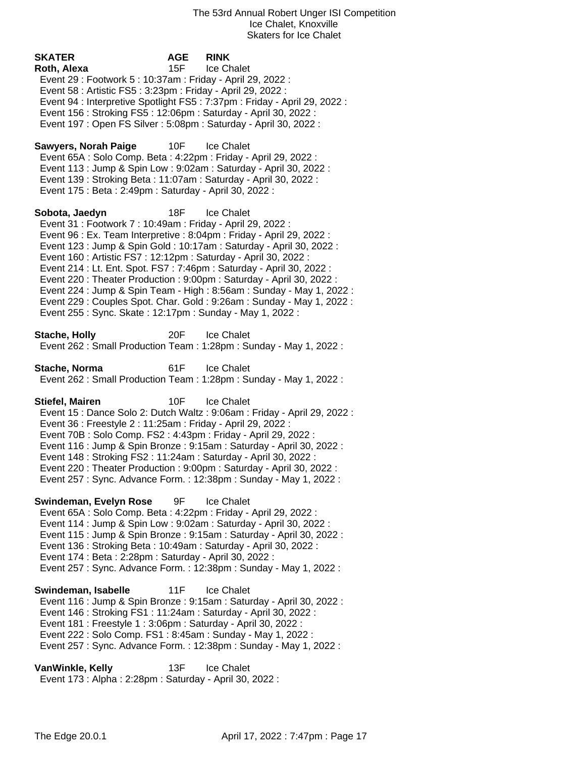**SKATER AGE RINK Roth, Alexa** 15F Ice Chalet Event 29 : Footwork 5 : 10:37am : Friday - April 29, 2022 : Event 58 : Artistic FS5 : 3:23pm : Friday - April 29, 2022 : Event 94 : Interpretive Spotlight FS5 : 7:37pm : Friday - April 29, 2022 : Event 156 : Stroking FS5 : 12:06pm : Saturday - April 30, 2022 : Event 197 : Open FS Silver : 5:08pm : Saturday - April 30, 2022 : Sawyers, Norah Paige 10F Ice Chalet Event 65A : Solo Comp. Beta : 4:22pm : Friday - April 29, 2022 : Event 113 : Jump & Spin Low : 9:02am : Saturday - April 30, 2022 : Event 139 : Stroking Beta : 11:07am : Saturday - April 30, 2022 : Event 175 : Beta : 2:49pm : Saturday - April 30, 2022 : **Sobota, Jaedyn** 18F Ice Chalet Event 31 : Footwork 7 : 10:49am : Friday - April 29, 2022 : Event 96 : Ex. Team Interpretive : 8:04pm : Friday - April 29, 2022 : Event 123 : Jump & Spin Gold : 10:17am : Saturday - April 30, 2022 : Event 160 : Artistic FS7 : 12:12pm : Saturday - April 30, 2022 : Event 214 : Lt. Ent. Spot. FS7 : 7:46pm : Saturday - April 30, 2022 : Event 220 : Theater Production : 9:00pm : Saturday - April 30, 2022 : Event 224 : Jump & Spin Team - High : 8:56am : Sunday - May 1, 2022 : Event 229 : Couples Spot. Char. Gold : 9:26am : Sunday - May 1, 2022 : Event 255 : Sync. Skate : 12:17pm : Sunday - May 1, 2022 : **Stache, Holly** 20F Ice Chalet Event 262 : Small Production Team : 1:28pm : Sunday - May 1, 2022 : **Stache, Norma** 61F Ice Chalet Event 262 : Small Production Team : 1:28pm : Sunday - May 1, 2022 : **Stiefel, Mairen** 10F Ice Chalet Event 15 : Dance Solo 2: Dutch Waltz : 9:06am : Friday - April 29, 2022 : Event 36 : Freestyle 2 : 11:25am : Friday - April 29, 2022 : Event 70B : Solo Comp. FS2 : 4:43pm : Friday - April 29, 2022 : Event 116 : Jump & Spin Bronze : 9:15am : Saturday - April 30, 2022 : Event 148 : Stroking FS2 : 11:24am : Saturday - April 30, 2022 : Event 220 : Theater Production : 9:00pm : Saturday - April 30, 2022 : Event 257 : Sync. Advance Form. : 12:38pm : Sunday - May 1, 2022 : **Swindeman, Evelyn Rose** 9F Ice Chalet Event 65A : Solo Comp. Beta : 4:22pm : Friday - April 29, 2022 : Event 114 : Jump & Spin Low : 9:02am : Saturday - April 30, 2022 : Event 115 : Jump & Spin Bronze : 9:15am : Saturday - April 30, 2022 : Event 136 : Stroking Beta : 10:49am : Saturday - April 30, 2022 : Event 174 : Beta : 2:28pm : Saturday - April 30, 2022 : Event 257 : Sync. Advance Form. : 12:38pm : Sunday - May 1, 2022 : **Swindeman, Isabelle** 11F Ice Chalet Event 116 : Jump & Spin Bronze : 9:15am : Saturday - April 30, 2022 : Event 146 : Stroking FS1 : 11:24am : Saturday - April 30, 2022 : Event 181 : Freestyle 1 : 3:06pm : Saturday - April 30, 2022 : Event 222 : Solo Comp. FS1 : 8:45am : Sunday - May 1, 2022 : Event 257 : Sync. Advance Form. : 12:38pm : Sunday - May 1, 2022 : **VanWinkle, Kelly** 13F Ice Chalet Event 173 : Alpha : 2:28pm : Saturday - April 30, 2022 :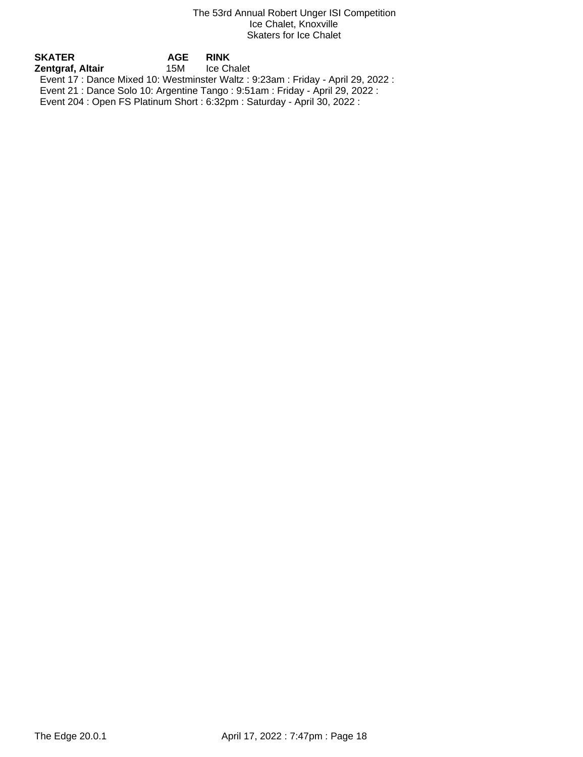| SKATER           | <b>AGE</b> | <b>RINK</b>                                                                       |
|------------------|------------|-----------------------------------------------------------------------------------|
| Zentgraf, Altair | 15M        | Ice Chalet                                                                        |
|                  |            | Event 17 : Dance Mixed 10: Westminster Waltz : 9:23am : Friday - April 29, 2022 : |
|                  |            | Event 21 : Dance Solo 10: Argentine Tango : 9:51am : Friday - April 29, 2022 :    |
|                  |            | Event 204 : Open FS Platinum Short : 6:32pm : Saturday - April 30, 2022 :         |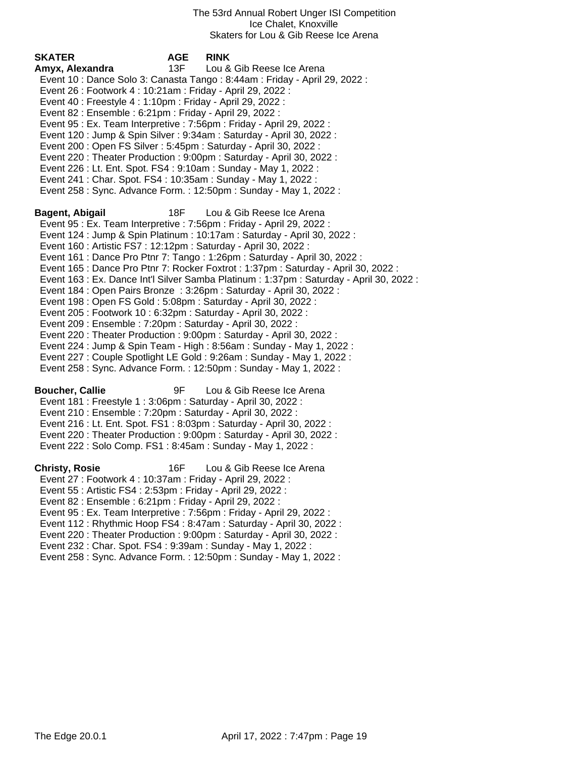| SKATER<br>Amyx, Alexandra                                                                                                          | <b>AGE</b><br>13F | <b>RINK</b><br>Lou & Gib Reese Ice Arena                                                 |
|------------------------------------------------------------------------------------------------------------------------------------|-------------------|------------------------------------------------------------------------------------------|
| Event 26 : Footwork 4 : 10:21am : Friday - April 29, 2022 :                                                                        |                   | Event 10 : Dance Solo 3: Canasta Tango : 8:44am : Friday - April 29, 2022 :              |
| Event 40 : Freestyle 4 : 1:10pm : Friday - April 29, 2022 :<br>Event 82 : Ensemble : 6:21pm : Friday - April 29, 2022 :            |                   |                                                                                          |
|                                                                                                                                    |                   | Event 95 : Ex. Team Interpretive : 7:56pm : Friday - April 29, 2022 :                    |
|                                                                                                                                    |                   | Event 120 : Jump & Spin Silver : 9:34am : Saturday - April 30, 2022 :                    |
| Event 200 : Open FS Silver : 5:45pm : Saturday - April 30, 2022 :                                                                  |                   |                                                                                          |
|                                                                                                                                    |                   | Event 220 : Theater Production : 9:00pm : Saturday - April 30, 2022 :                    |
| Event 226 : Lt. Ent. Spot. FS4 : 9:10am : Sunday - May 1, 2022 :<br>Event 241 : Char. Spot. FS4 : 10:35am : Sunday - May 1, 2022 : |                   |                                                                                          |
|                                                                                                                                    |                   | Event 258 : Sync. Advance Form. : 12:50pm : Sunday - May 1, 2022 :                       |
| Bagent, Abigail                                                                                                                    | 18F               | Lou & Gib Reese Ice Arena                                                                |
|                                                                                                                                    |                   | Event 95 : Ex. Team Interpretive : 7:56pm : Friday - April 29, 2022 :                    |
| Event 160 : Artistic FS7 : 12:12pm : Saturday - April 30, 2022 :                                                                   |                   | Event 124 : Jump & Spin Platinum : 10:17am : Saturday - April 30, 2022 :                 |
|                                                                                                                                    |                   | Event 161 : Dance Pro Ptnr 7: Tango : 1:26pm : Saturday - April 30, 2022 :               |
|                                                                                                                                    |                   | Event 165 : Dance Pro Ptnr 7: Rocker Foxtrot : 1:37pm : Saturday - April 30, 2022 :      |
|                                                                                                                                    |                   | Event 163 : Ex. Dance Int'l Silver Samba Platinum : 1:37pm : Saturday - April 30, 2022 : |
|                                                                                                                                    |                   | Event 184 : Open Pairs Bronze : 3:26pm : Saturday - April 30, 2022 :                     |
| Event 198 : Open FS Gold : 5:08pm : Saturday - April 30, 2022 :<br>Event 205 : Footwork 10 : 6:32pm : Saturday - April 30, 2022 :  |                   |                                                                                          |
| Event 209 : Ensemble : 7:20pm : Saturday - April 30, 2022 :                                                                        |                   |                                                                                          |
|                                                                                                                                    |                   | Event 220 : Theater Production : 9:00pm : Saturday - April 30, 2022 :                    |
|                                                                                                                                    |                   | Event 224 : Jump & Spin Team - High : 8:56am : Sunday - May 1, 2022 :                    |
|                                                                                                                                    |                   | Event 227 : Couple Spotlight LE Gold : 9:26am : Sunday - May 1, 2022 :                   |
|                                                                                                                                    |                   | Event 258 : Sync. Advance Form. : 12:50pm : Sunday - May 1, 2022 :                       |
| <b>Boucher, Callie</b>                                                                                                             | 9F                | Lou & Gib Reese Ice Arena                                                                |
| Event 181 : Freestyle 1 : 3:06pm : Saturday - April 30, 2022 :<br>Event 210 : Ensemble : 7:20pm : Saturday - April 30, 2022 :      |                   |                                                                                          |
|                                                                                                                                    |                   | Event 216 : Lt. Ent. Spot. FS1 : 8:03pm : Saturday - April 30, 2022 :                    |
|                                                                                                                                    |                   | Event 220 : Theater Production : 9:00pm : Saturday - April 30, 2022 :                    |
| Event 222 : Solo Comp. FS1 : 8:45am : Sunday - May 1, 2022 :                                                                       |                   |                                                                                          |
| <b>Christy, Rosie</b>                                                                                                              | 16F               | Lou & Gib Reese Ice Arena                                                                |
| Event 27: Footwork 4: 10:37am: Friday - April 29, 2022:                                                                            |                   |                                                                                          |
| Event 55: Artistic FS4: 2:53pm: Friday - April 29, 2022:<br>Event 82 : Ensemble : 6:21pm : Friday - April 29, 2022 :               |                   |                                                                                          |
|                                                                                                                                    |                   | Event 95 : Ex. Team Interpretive : 7:56pm : Friday - April 29, 2022 :                    |
|                                                                                                                                    |                   | Event 112 : Rhythmic Hoop FS4 : 8:47am : Saturday - April 30, 2022 :                     |
|                                                                                                                                    |                   | Event 220 : Theater Production : 9:00pm : Saturday - April 30, 2022 :                    |
| Event 232: Char. Spot. FS4: 9:39am: Sunday - May 1, 2022:                                                                          |                   |                                                                                          |
|                                                                                                                                    |                   | Event 258 : Sync. Advance Form. : 12:50pm : Sunday - May 1, 2022 :                       |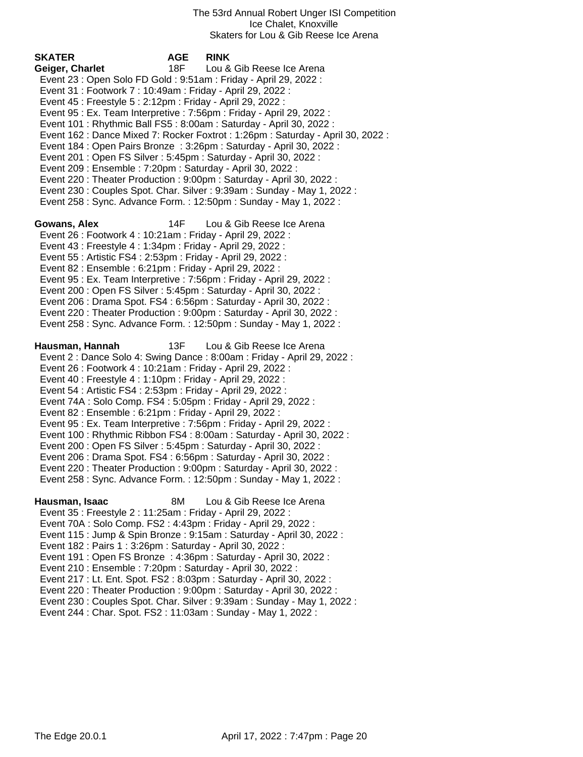| <b>SKATER</b><br>Geiger, Charlet<br>Event 23 : Open Solo FD Gold : 9:51am : Friday - April 29, 2022 :<br>Event 31: Footwork 7: 10:49am: Friday - April 29, 2022:<br>Event 45 : Freestyle 5 : 2:12pm : Friday - April 29, 2022 :<br>Event 201: Open FS Silver: 5:45pm: Saturday - April 30, 2022:<br>Event 209 : Ensemble : 7:20pm : Saturday - April 30, 2022 :                                                   | <b>AGE</b><br>18F | <b>RINK</b><br>Lou & Gib Reese Ice Arena<br>Event 95 : Ex. Team Interpretive : 7:56pm : Friday - April 29, 2022 :<br>Event 101 : Rhythmic Ball FS5 : 8:00am : Saturday - April 30, 2022 :<br>Event 162 : Dance Mixed 7: Rocker Foxtrot : 1:26pm : Saturday - April 30, 2022 :<br>Event 184 : Open Pairs Bronze : 3:26pm : Saturday - April 30, 2022 :<br>Event 220 : Theater Production : 9:00pm : Saturday - April 30, 2022 :<br>Event 230 : Couples Spot. Char. Silver : 9:39am : Sunday - May 1, 2022 :<br>Event 258 : Sync. Advance Form. : 12:50pm : Sunday - May 1, 2022 : |
|-------------------------------------------------------------------------------------------------------------------------------------------------------------------------------------------------------------------------------------------------------------------------------------------------------------------------------------------------------------------------------------------------------------------|-------------------|----------------------------------------------------------------------------------------------------------------------------------------------------------------------------------------------------------------------------------------------------------------------------------------------------------------------------------------------------------------------------------------------------------------------------------------------------------------------------------------------------------------------------------------------------------------------------------|
| Gowans, Alex<br>Event 26 : Footwork 4 : 10:21am : Friday - April 29, 2022 :<br>Event 43 : Freestyle 4 : 1:34pm : Friday - April 29, 2022 :<br>Event 55: Artistic FS4: 2:53pm: Friday - April 29, 2022:<br>Event 82 : Ensemble : 6:21pm : Friday - April 29, 2022 :<br>Event 200 : Open FS Silver : 5:45pm : Saturday - April 30, 2022 :                                                                           | 14F               | Lou & Gib Reese Ice Arena<br>Event 95 : Ex. Team Interpretive : 7:56pm : Friday - April 29, 2022 :<br>Event 206 : Drama Spot. FS4 : 6:56pm : Saturday - April 30, 2022 :<br>Event 220 : Theater Production : 9:00pm : Saturday - April 30, 2022 :<br>Event 258 : Sync. Advance Form. : 12:50pm : Sunday - May 1, 2022 :                                                                                                                                                                                                                                                          |
| Hausman, Hannah<br>Event 26 : Footwork 4 : 10:21am : Friday - April 29, 2022 :<br>Event 40 : Freestyle 4 : 1:10pm : Friday - April 29, 2022 :<br>Event 54 : Artistic FS4 : 2:53pm : Friday - April 29, 2022 :<br>Event 74A : Solo Comp. FS4 : 5:05pm : Friday - April 29, 2022 :<br>Event 82 : Ensemble : 6:21pm : Friday - April 29, 2022 :<br>Event 200 : Open FS Silver : 5:45pm : Saturday - April 30, 2022 : | 13F               | Lou & Gib Reese Ice Arena<br>Event 2: Dance Solo 4: Swing Dance: 8:00am: Friday - April 29, 2022:<br>Event 95 : Ex. Team Interpretive : 7:56pm : Friday - April 29, 2022 :<br>Event 100 : Rhythmic Ribbon FS4 : 8:00am : Saturday - April 30, 2022 :<br>Event 206 : Drama Spot. FS4 : 6:56pm : Saturday - April 30, 2022 :<br>Event 220 : Theater Production : 9:00pm : Saturday - April 30, 2022 :<br>Event 258 : Sync. Advance Form. : 12:50pm : Sunday - May 1, 2022 :                                                                                                        |
| Hausman, Isaac<br>Event 35 : Freestyle 2 : 11:25am : Friday - April 29, 2022 :<br>Event 70A : Solo Comp. FS2 : 4:43pm : Friday - April 29, 2022 :<br>Event 182 : Pairs 1 : 3:26pm : Saturday - April 30, 2022 :<br>Event 210 : Ensemble : 7:20pm : Saturday - April 30, 2022 :<br>Event 244 : Char. Spot. FS2 : 11:03am : Sunday - May 1, 2022 :                                                                  | 8M                | Lou & Gib Reese Ice Arena<br>Event 115 : Jump & Spin Bronze : 9:15am : Saturday - April 30, 2022 :<br>Event 191 : Open FS Bronze : 4:36pm : Saturday - April 30, 2022 :<br>Event 217 : Lt. Ent. Spot. FS2 : 8:03pm : Saturday - April 30, 2022 :<br>Event 220 : Theater Production : 9:00pm : Saturday - April 30, 2022 :<br>Event 230 : Couples Spot. Char. Silver : 9:39am : Sunday - May 1, 2022 :                                                                                                                                                                            |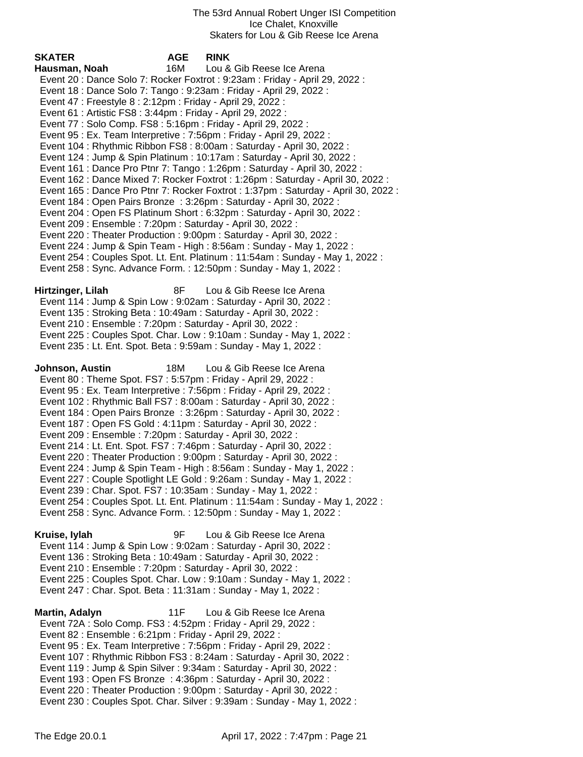| <b>SKATER</b>                                                                                                                                                                                                                                                                      | <b>AGE</b> | <b>RINK</b>                                                                                                                                                                                                                                                                                                                                                                                                                                                                                                                                                                                                                                                                                                     |
|------------------------------------------------------------------------------------------------------------------------------------------------------------------------------------------------------------------------------------------------------------------------------------|------------|-----------------------------------------------------------------------------------------------------------------------------------------------------------------------------------------------------------------------------------------------------------------------------------------------------------------------------------------------------------------------------------------------------------------------------------------------------------------------------------------------------------------------------------------------------------------------------------------------------------------------------------------------------------------------------------------------------------------|
| Hausman, Noah                                                                                                                                                                                                                                                                      | 16M        | Lou & Gib Reese Ice Arena                                                                                                                                                                                                                                                                                                                                                                                                                                                                                                                                                                                                                                                                                       |
|                                                                                                                                                                                                                                                                                    |            | Event 20: Dance Solo 7: Rocker Foxtrot: 9:23am: Friday - April 29, 2022:                                                                                                                                                                                                                                                                                                                                                                                                                                                                                                                                                                                                                                        |
|                                                                                                                                                                                                                                                                                    |            | Event 18 : Dance Solo 7: Tango : 9:23am : Friday - April 29, 2022 :                                                                                                                                                                                                                                                                                                                                                                                                                                                                                                                                                                                                                                             |
| Event 47 : Freestyle 8 : 2:12pm : Friday - April 29, 2022 :                                                                                                                                                                                                                        |            |                                                                                                                                                                                                                                                                                                                                                                                                                                                                                                                                                                                                                                                                                                                 |
| Event 61 : Artistic FS8 : 3:44pm : Friday - April 29, 2022 :                                                                                                                                                                                                                       |            |                                                                                                                                                                                                                                                                                                                                                                                                                                                                                                                                                                                                                                                                                                                 |
| Event 77: Solo Comp. FS8: 5:16pm: Friday - April 29, 2022:                                                                                                                                                                                                                         |            |                                                                                                                                                                                                                                                                                                                                                                                                                                                                                                                                                                                                                                                                                                                 |
|                                                                                                                                                                                                                                                                                    |            | Event 95 : Ex. Team Interpretive : 7:56pm : Friday - April 29, 2022 :                                                                                                                                                                                                                                                                                                                                                                                                                                                                                                                                                                                                                                           |
|                                                                                                                                                                                                                                                                                    |            | Event 104 : Rhythmic Ribbon FS8 : 8:00am : Saturday - April 30, 2022 :                                                                                                                                                                                                                                                                                                                                                                                                                                                                                                                                                                                                                                          |
|                                                                                                                                                                                                                                                                                    |            | Event 124 : Jump & Spin Platinum : 10:17am : Saturday - April 30, 2022 :                                                                                                                                                                                                                                                                                                                                                                                                                                                                                                                                                                                                                                        |
|                                                                                                                                                                                                                                                                                    |            | Event 161 : Dance Pro Ptnr 7: Tango : 1:26pm : Saturday - April 30, 2022 :                                                                                                                                                                                                                                                                                                                                                                                                                                                                                                                                                                                                                                      |
|                                                                                                                                                                                                                                                                                    |            | Event 162 : Dance Mixed 7: Rocker Foxtrot : 1:26pm : Saturday - April 30, 2022 :                                                                                                                                                                                                                                                                                                                                                                                                                                                                                                                                                                                                                                |
|                                                                                                                                                                                                                                                                                    |            | Event 165 : Dance Pro Ptnr 7: Rocker Foxtrot : 1:37pm : Saturday - April 30, 2022 :                                                                                                                                                                                                                                                                                                                                                                                                                                                                                                                                                                                                                             |
|                                                                                                                                                                                                                                                                                    |            | Event 184 : Open Pairs Bronze : 3:26pm : Saturday - April 30, 2022 :                                                                                                                                                                                                                                                                                                                                                                                                                                                                                                                                                                                                                                            |
|                                                                                                                                                                                                                                                                                    |            | Event 204 : Open FS Platinum Short : 6:32pm : Saturday - April 30, 2022 :                                                                                                                                                                                                                                                                                                                                                                                                                                                                                                                                                                                                                                       |
| Event 209 : Ensemble : 7:20pm : Saturday - April 30, 2022 :                                                                                                                                                                                                                        |            |                                                                                                                                                                                                                                                                                                                                                                                                                                                                                                                                                                                                                                                                                                                 |
|                                                                                                                                                                                                                                                                                    |            | Event 220 : Theater Production : 9:00pm : Saturday - April 30, 2022 :                                                                                                                                                                                                                                                                                                                                                                                                                                                                                                                                                                                                                                           |
|                                                                                                                                                                                                                                                                                    |            | Event 224 : Jump & Spin Team - High : 8:56am : Sunday - May 1, 2022 :                                                                                                                                                                                                                                                                                                                                                                                                                                                                                                                                                                                                                                           |
|                                                                                                                                                                                                                                                                                    |            | Event 254 : Couples Spot. Lt. Ent. Platinum : 11:54am : Sunday - May 1, 2022 :                                                                                                                                                                                                                                                                                                                                                                                                                                                                                                                                                                                                                                  |
|                                                                                                                                                                                                                                                                                    |            | Event 258 : Sync. Advance Form. : 12:50pm : Sunday - May 1, 2022 :                                                                                                                                                                                                                                                                                                                                                                                                                                                                                                                                                                                                                                              |
|                                                                                                                                                                                                                                                                                    |            |                                                                                                                                                                                                                                                                                                                                                                                                                                                                                                                                                                                                                                                                                                                 |
| Hirtzinger, Lilah                                                                                                                                                                                                                                                                  | 8F         | Lou & Gib Reese Ice Arena                                                                                                                                                                                                                                                                                                                                                                                                                                                                                                                                                                                                                                                                                       |
|                                                                                                                                                                                                                                                                                    |            | Event 114 : Jump & Spin Low : 9:02am : Saturday - April 30, 2022 :                                                                                                                                                                                                                                                                                                                                                                                                                                                                                                                                                                                                                                              |
| Event 135: Stroking Beta: 10:49am: Saturday - April 30, 2022:                                                                                                                                                                                                                      |            |                                                                                                                                                                                                                                                                                                                                                                                                                                                                                                                                                                                                                                                                                                                 |
| Event 210 : Ensemble : 7:20pm : Saturday - April 30, 2022 :                                                                                                                                                                                                                        |            |                                                                                                                                                                                                                                                                                                                                                                                                                                                                                                                                                                                                                                                                                                                 |
|                                                                                                                                                                                                                                                                                    |            | Event 225 : Couples Spot. Char. Low : 9:10am : Sunday - May 1, 2022 :                                                                                                                                                                                                                                                                                                                                                                                                                                                                                                                                                                                                                                           |
|                                                                                                                                                                                                                                                                                    |            | Event 235 : Lt. Ent. Spot. Beta : 9:59am : Sunday - May 1, 2022 :                                                                                                                                                                                                                                                                                                                                                                                                                                                                                                                                                                                                                                               |
| Johnson, Austin<br>Event 80 : Theme Spot. FS7 : 5:57pm : Friday - April 29, 2022 :<br>Event 187 : Open FS Gold : 4:11pm : Saturday - April 30, 2022 :<br>Event 209 : Ensemble : 7:20pm : Saturday - April 30, 2022 :<br>Event 239: Char. Spot. FS7: 10:35am: Sunday - May 1, 2022: | 18M        | Lou & Gib Reese Ice Arena<br>Event 95 : Ex. Team Interpretive : 7:56pm : Friday - April 29, 2022 :<br>Event 102 : Rhythmic Ball FS7 : 8:00am : Saturday - April 30, 2022 :<br>Event 184 : Open Pairs Bronze : 3:26pm : Saturday - April 30, 2022 :<br>Event 214 : Lt. Ent. Spot. FS7 : 7:46pm : Saturday - April 30, 2022 :<br>Event 220 : Theater Production : 9:00pm : Saturday - April 30, 2022 :<br>Event 224 : Jump & Spin Team - High : 8:56am : Sunday - May 1, 2022 :<br>Event 227 : Couple Spotlight LE Gold : 9:26am : Sunday - May 1, 2022 :<br>Event 254 : Couples Spot. Lt. Ent. Platinum : 11:54am : Sunday - May 1, 2022 :<br>Event 258 : Sync. Advance Form. : 12:50pm : Sunday - May 1, 2022 : |
| Kruise, lylah<br>Event 136 : Stroking Beta : 10:49am : Saturday - April 30, 2022 :<br>Event 210 : Ensemble : 7:20pm : Saturday - April 30, 2022 :<br>Event 247 : Char. Spot. Beta : 11:31am : Sunday - May 1, 2022 :                                                               | 9F         | Lou & Gib Reese Ice Arena<br>Event 114 : Jump & Spin Low : 9:02am : Saturday - April 30, 2022 :<br>Event 225 : Couples Spot. Char. Low : 9:10am : Sunday - May 1, 2022 :                                                                                                                                                                                                                                                                                                                                                                                                                                                                                                                                        |
| Martin, Adalyn                                                                                                                                                                                                                                                                     | 11F        | Lou & Gib Reese Ice Arena                                                                                                                                                                                                                                                                                                                                                                                                                                                                                                                                                                                                                                                                                       |
| Event 72A : Solo Comp. FS3 : 4:52pm : Friday - April 29, 2022 :                                                                                                                                                                                                                    |            |                                                                                                                                                                                                                                                                                                                                                                                                                                                                                                                                                                                                                                                                                                                 |
| Event 82 : Ensemble : 6:21pm : Friday - April 29, 2022 :                                                                                                                                                                                                                           |            |                                                                                                                                                                                                                                                                                                                                                                                                                                                                                                                                                                                                                                                                                                                 |
|                                                                                                                                                                                                                                                                                    |            | Event 95 : Ex. Team Interpretive : 7:56pm : Friday - April 29, 2022 :                                                                                                                                                                                                                                                                                                                                                                                                                                                                                                                                                                                                                                           |
|                                                                                                                                                                                                                                                                                    |            | Event 107: Rhythmic Ribbon FS3: 8:24am: Saturday - April 30, 2022:                                                                                                                                                                                                                                                                                                                                                                                                                                                                                                                                                                                                                                              |
|                                                                                                                                                                                                                                                                                    |            | Event 119 : Jump & Spin Silver : 9:34am : Saturday - April 30, 2022 :                                                                                                                                                                                                                                                                                                                                                                                                                                                                                                                                                                                                                                           |

- Event 193 : Open FS Bronze : 4:36pm : Saturday April 30, 2022 : Event 220 : Theater Production : 9:00pm : Saturday - April 30, 2022 :
- Event 230 : Couples Spot. Char. Silver : 9:39am : Sunday May 1, 2022 :